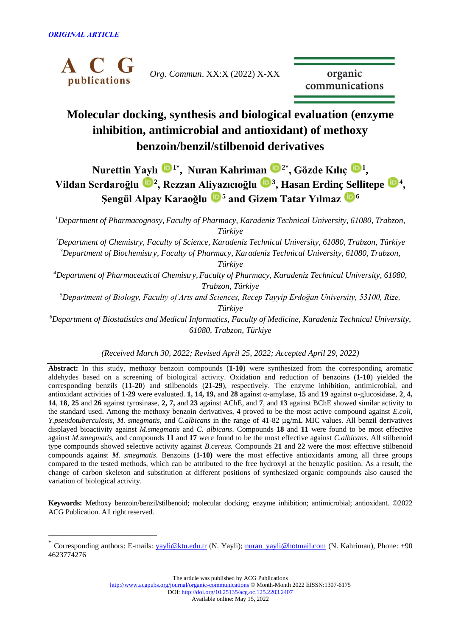

*Org. Commun*. XX:X (2022) X-XX

organic communications

# **Molecular docking, synthesis and biological evaluation (enzyme inhibition, antimicrobial and antioxidant) of methoxy benzoin/benzil/stilbenoid derivatives**

**Nurettin Yaylı <sup>[1](https://orcid.org/0000-0003-1248-7912)</sup>, Nuran Kahriman**  $\mathbf{E}^{2*}$ **, Gözde Kılıç**  $\mathbf{E}^{1}$ **, Vildan Serdaroğlu [2](https://orcid.org/0000-0002-0487-1597) , Rezzan Aliyazıcıoğlu <sup>3</sup> , Hasan Erdinç Sellitepe [4](https://orcid.org/0000-0001-5339-6940) , Şengül Alpay Karaoğlu <sup>5</sup> and Gizem Tatar Yılmaz <sup>6</sup>**

*<sup>1</sup>Department of Pharmacognosy, Faculty of Pharmacy, Karadeniz Technical University, 61080, Trabzon, Türkiye*

*<sup>2</sup>Department of Chemistry, Faculty of Science, Karadeniz Technical University, 61080, Trabzon, Türkiye <sup>3</sup>Department of Biochemistry, Faculty of Pharmacy, Karadeniz Technical University, 61080, Trabzon, Türkiye*

*<sup>4</sup>Department of Pharmaceutical Chemistry, Faculty of Pharmacy, Karadeniz Technical University, 61080, Trabzon, Türkiye*

*<sup>5</sup>Department of Biology, Faculty of Arts and Sciences, Recep Tayyip Erdoğan University, 53100, Rize, Türkiye*

*<sup>6</sup>Department of Biostatistics and Medical Informatics, Faculty of Medicine, Karadeniz Technical University, 61080, Trabzon, Türkiye*

*(Received March 30, 2022; Revised April 25, 2022; Accepted April 29, 2022)*

**Abstract:** In this study, methoxy benzoin compounds (**1-10**) were synthesized from the corresponding aromatic aldehydes based on a screening of biological activity. Oxidation and reduction of benzoins (**1-10**) yielded the corresponding benzils (**11-20**) and stilbenoids (**21-29**), respectively. The enzyme inhibition, antimicrobial, and antioxidant activities of **1**-**29** were evaluated. **1, 14, 19,** and **28** against α-amylase, **15** and **19** against α-glucosidase, **2**, **4, 14**, **18**, **25** and **26** against tyrosinase, **2, 7,** and **23** against AChE, and **7**, and **13** against BChE showed similar activity to the standard used. Among the methoxy benzoin derivatives, **4** proved to be the most active compound against *E.coli, Y.pseudotuberculosis, M. smegmatis,* and *C.albicans* in the range of 41-82 µg/mL MIC values. All benzil derivatives displayed bioactivity against *M.smegmatis* and *C. albicans*. Compounds **18** and **11** were found to be most effective against *M.smegmatis*, and compounds **11** and **17** were found to be the most effective against *C.albicans*. All stilbenoid type compounds showed selective activity against *B.cereus*. Compounds **21** and **22** were the most effective stilbenoid compounds against *M. smegmatis*. Benzoins (**1**-**10)** were the most effective antioxidants among all three groups compared to the tested methods, which can be attributed to the free hydroxyl at the benzylic position. As a result, the change of carbon skeleton and substitution at different positions of synthesized organic compounds also caused the variation of biological activity.

**Keywords:** Methoxy benzoin/benzil/stilbenoid; molecular docking; enzyme inhibition; antimicrobial; antioxidant. ©2022 ACG Publication. All right reserved.

The article was published by ACG Publications <http://www.acgpubs.org/journal/organic-communications> © Month-Month 2022 EISSN:1307-6175

DOI: <http://doi.org/10.25135/acg.oc.125.2203.2407>

Available online: May 15, 2022

<sup>\*</sup> Corresponding authors: E-mails: [yayli@ktu.edu.tr](mailto:yayli@ktu.edu.tr) (N. Yayli); [nuran\\_yayli@hotmail.com](mailto:nuran_yayli@hotmail.com) (N. Kahriman), Phone: +90 4623774276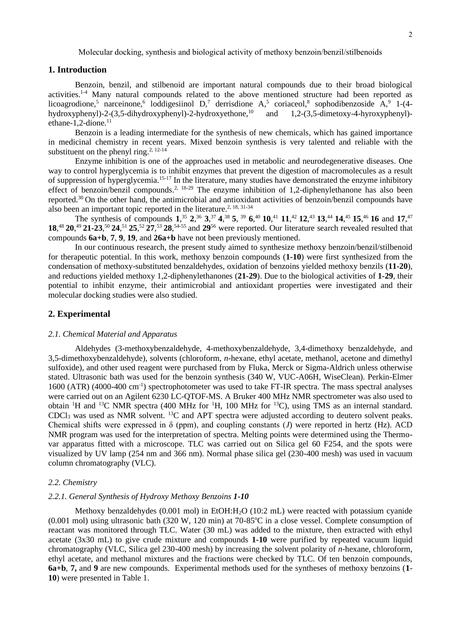# **1. Introduction**

Benzoin, benzil, and stilbenoid are important natural compounds due to their broad biological activities.<sup>1-4</sup> Many natural compounds related to the above mentioned structure had been reported as licoagrodione,<sup>5</sup> narceinone,<sup>6</sup> loddigesiinol D,<sup>7</sup> derrisdione A,<sup>5</sup> coriaceol,<sup>8</sup> sophodibenzoside A,<sup>9</sup> 1-(4hydroxyphenyl)-2-(3,5-dihydroxyphenyl)-2-hydroxyethone,<sup>10</sup> and 1,2-(3,5-dimetoxy-4-hyroxyphenyl) ethane-1,2-dione. $11$ 

Benzoin is a leading intermediate for the synthesis of new chemicals, which has gained importance in medicinal chemistry in recent years. Mixed benzoin synthesis is very talented and reliable with the substituent on the phenyl ring.<sup>2, 12-14</sup>

Enzyme inhibition is one of the approaches used in metabolic and neurodegenerative diseases. One way to control hyperglycemia is to inhibit enzymes that prevent the digestion of macromolecules as a result of suppression of hyperglycemia.15-17 In the literature, many studies have demonstrated the enzyme inhibitory effect of benzoin/benzil compounds.<sup>2, 18-29</sup> The enzyme inhibition of 1,2-diphenylethanone has also been reported.<sup>30</sup>On the other hand, the antimicrobial and antioxidant activities of benzoin/benzil compounds have also been an important topic reported in the literature.<sup>2, 18, 31-34</sup>

The synthesis of compounds  $1^{35}$ ,  $2^{36}$ ,  $3^{37}$ ,  $4^{38}$ ,  $5^{39}$ ,  $6^{40}$ ,  $10^{41}$ ,  $11^{42}$ ,  $12^{43}$ ,  $13^{44}$ ,  $14^{45}$ ,  $15^{46}$ ,  $16$  and  $17^{47}$ **18**, <sup>48</sup>**20**, <sup>49</sup>**21-23**, <sup>50</sup>**24**, <sup>51</sup>**25**, <sup>52</sup>**27**, <sup>53</sup>**28**, 54-55 and **29**<sup>56</sup> were reported. Our literature search revealed resulted that compounds **6a+b**, **7**, **9**, **19**, and **26a+b** have not been previously mentioned.

In our continuous research, the present study aimed to synthesize methoxy benzoin/benzil/stilbenoid for therapeutic potential. In this work, methoxy benzoin compounds (**1-10**) were first synthesized from the condensation of methoxy-substituted benzaldehydes, oxidation of benzoins yielded methoxy benzils (**11-20**), and reductions yielded methoxy 1,2-diphenylethanones (**21-29**). Due to the biological activities of **1-29**, their potential to inhibit enzyme, their antimicrobial and antioxidant properties were investigated and their molecular docking studies were also studied.

## **2. Experimental**

## *2.1. Chemical Material and Apparatus*

Aldehydes (3-methoxybenzaldehyde, 4-methoxybenzaldehyde, 3,4-dimethoxy benzaldehyde, and 3,5-dimethoxybenzaldehyde), solvents (chloroform, *n*-hexane, ethyl acetate, methanol, acetone and dimethyl sulfoxide), and other used reagent were purchased from by Fluka, Merck or Sigma-Aldrich unless otherwise stated. Ultrasonic bath was used for the benzoin synthesis (340 W, VUC-A06H, WiseClean). Perkin-Elmer 1600 (ATR) (4000-400 cm-1 ) spectrophotometer was used to take FT-IR spectra. The mass spectral analyses were carried out on an Agilent 6230 LC-QTOF-MS. A Bruker 400 MHz NMR spectrometer was also used to obtain <sup>1</sup>H and <sup>13</sup>C NMR spectra (400 MHz for <sup>1</sup>H, 100 MHz for <sup>13</sup>C), using TMS as an internal standard. CDCl<sup>3</sup> was used as NMR solvent. <sup>13</sup>C and APT spectra were adjusted according to deutero solvent peaks. Chemical shifts were expressed in  $\delta$  (ppm), and coupling constants (*J*) were reported in hertz (Hz). ACD NMR program was used for the interpretation of spectra. Melting points were determined using the Thermovar apparatus fitted with a microscope. TLC was carried out on Silica gel 60 F254, and the spots were visualized by UV lamp (254 nm and 366 nm). Normal phase silica gel (230-400 mesh) was used in vacuum column chromatography (VLC).

## *2.2. Chemistry*

#### *2.2.1. General Synthesis of Hydroxy Methoxy Benzoins 1-10*

Methoxy benzaldehydes (0.001 mol) in EtOH:H<sub>2</sub>O (10:2 mL) were reacted with potassium cyanide (0.001 mol) using ultrasonic bath (320 W, 120 min) at 70-85 °C in a close vessel. Complete consumption of reactant was monitored through TLC. Water (30 mL) was added to the mixture, then extracted with ethyl acetate (3x30 mL) to give crude mixture and compounds **1-10** were purified by repeated vacuum liquid chromatography (VLC, Silica gel 230-400 mesh) by increasing the solvent polarity of *n*-hexane, chloroform, ethyl acetate, and methanol mixtures and the fractions were checked by TLC. Of ten benzoin compounds, **6a+b**, **7,** and **9** are new compounds. Experimental methods used for the syntheses of methoxy benzoins (**1**- **10**) were presented in Table 1.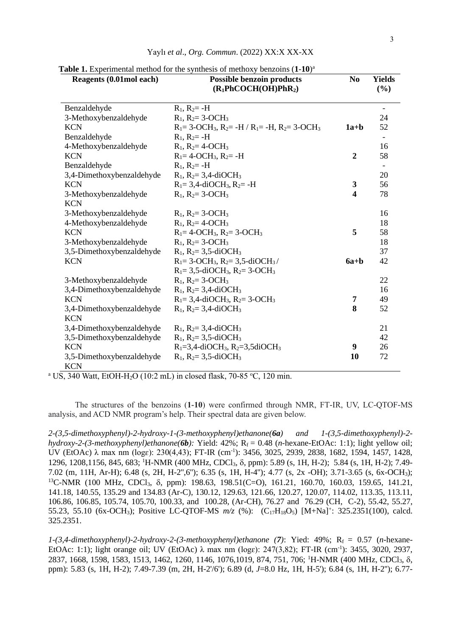| Reagents (0.01mol each)                 | able 1. Experimental include for the symmeshs of including componies (1.10)<br><b>Possible benzoin products</b><br>$(R_1PhCOCH(OH)PhR_2)$ | N <sub>0</sub>          | <b>Yields</b><br>(%)     |
|-----------------------------------------|-------------------------------------------------------------------------------------------------------------------------------------------|-------------------------|--------------------------|
| Benzaldehyde                            | $R_1, R_2 = -H$                                                                                                                           |                         | $\overline{\phantom{a}}$ |
| 3-Methoxybenzaldehyde                   | $R_1$ , $R_2 = 3$ -OCH <sub>3</sub>                                                                                                       |                         | 24                       |
| <b>KCN</b>                              | $R_1 = 3$ -OCH <sub>3</sub> , $R_2 = -H/R_1 = -H$ , $R_2 = 3$ -OCH <sub>3</sub>                                                           | $1a+b$                  | 52                       |
| Benzaldehyde                            | $R_1, R_2 = -H$                                                                                                                           |                         |                          |
| 4-Methoxybenzaldehyde                   | $R_1$ , $R_2 = 4$ -OCH <sub>3</sub>                                                                                                       |                         | 16                       |
| <b>KCN</b>                              | $R_1 = 4$ -OCH <sub>3</sub> , $R_2 = -H$                                                                                                  | $\overline{2}$          | 58                       |
| Benzaldehyde                            | $R_1, R_2 = -H$                                                                                                                           |                         |                          |
| 3,4-Dimethoxybenzaldehyde               | $R_1$ , $R_2 = 3,4$ -diOCH <sub>3</sub>                                                                                                   |                         | 20                       |
| <b>KCN</b>                              | $R_1 = 3,4$ -diOCH <sub>3</sub> , $R_2 = -H$                                                                                              | 3                       | 56                       |
| 3-Methoxybenzaldehyde<br><b>KCN</b>     | $R_1$ , $R_2 = 3$ -OCH <sub>3</sub>                                                                                                       | $\overline{\mathbf{4}}$ | 78                       |
| 3-Methoxybenzaldehyde                   | $R_1$ , $R_2 = 3$ -OCH <sub>3</sub>                                                                                                       |                         | 16                       |
| 4-Methoxybenzaldehyde                   | $R_1$ , $R_2 = 4$ -OCH <sub>3</sub>                                                                                                       |                         | 18                       |
| <b>KCN</b>                              | $R_1 = 4$ -OCH <sub>3</sub> , $R_2 = 3$ -OCH <sub>3</sub>                                                                                 | 5                       | 58                       |
| 3-Methoxybenzaldehyde                   | $R_1$ , $R_2 = 3$ -OCH <sub>3</sub>                                                                                                       |                         | 18                       |
| 3,5-Dimethoxybenzaldehyde               | $R_1$ , $R_2 = 3,5$ -diOCH <sub>3</sub>                                                                                                   |                         | 37                       |
| <b>KCN</b>                              | $R_1 = 3$ -OCH <sub>3</sub> , $R_2 = 3,5$ -diOCH <sub>3</sub> /<br>$R_1 = 3, 5$ -diOCH <sub>3</sub> , $R_2 = 3$ -OCH <sub>3</sub>         | $6a + b$                | 42                       |
| 3-Methoxybenzaldehyde                   | $R_1$ , $R_2 = 3$ -OCH <sub>3</sub>                                                                                                       |                         | 22                       |
| 3,4-Dimethoxybenzaldehyde               | $R_1$ , $R_2 = 3,4$ -diOCH <sub>3</sub>                                                                                                   |                         | 16                       |
| <b>KCN</b>                              | $R_1 = 3,4$ -diOCH <sub>3</sub> , $R_2 = 3$ -OCH <sub>3</sub>                                                                             | 7                       | 49                       |
| 3,4-Dimethoxybenzaldehyde<br><b>KCN</b> | $R_1$ , $R_2 = 3,4$ -diOCH <sub>3</sub>                                                                                                   | 8                       | 52                       |
| 3,4-Dimethoxybenzaldehyde               | $R_1$ , $R_2 = 3,4$ -diOCH <sub>3</sub>                                                                                                   |                         | 21                       |
| 3,5-Dimethoxybenzaldehyde               | $R_1$ , $R_2 = 3,5$ -diOCH <sub>3</sub>                                                                                                   |                         | 42                       |
| <b>KCN</b>                              | $R_1 = 3,4$ -diOCH <sub>3</sub> , $R_2 = 3,5$ diOCH <sub>3</sub>                                                                          | 9                       | 26                       |
| 3,5-Dimethoxybenzaldehyde<br><b>KCN</b> | $R_1$ , $R_2 = 3,5$ -diOCH <sub>3</sub>                                                                                                   | 10                      | 72                       |

<sup>a</sup> US, 340 Watt, EtOH-H<sub>2</sub>O (10:2 mL) in closed flask, 70-85 °C, 120 min.

The structures of the benzoins (**1-10**) were confirmed through NMR, FT-IR, UV, LC-QTOF-MS analysis, and ACD NMR program's help. Their spectral data are given below.

*2-(3,5-dimethoxyphenyl)-2-hydroxy-1-(3-methoxyphenyl)ethanone(6a) and 1-(3,5-dimethoxyphenyl)-2 hydroxy-2-(3-methoxyphenyl)ethanone(6b):* Yield:  $42\%$ ;  $R_f = 0.48$  (*n*-hexane-EtOAc: 1:1); light yellow oil; UV (EtOAc) λ max nm (logε): 230(4,43); FT-IR (cm<sup>-1</sup>): 3456, 3025, 2939, 2838, 1682, 1594, 1457, 1428, 1296, 1208,1156, 845, 683; <sup>1</sup>H-NMR (400 MHz, CDCl<sub>3</sub>, δ, ppm): 5.89 (s, 1H, H-2); 5.84 (s, 1H, H-2); 7.49-7.02 (m, 11H, Ar-H); 6.48 (s, 2H, H-2'',6''); 6.35 (s, 1H, H-4''); 4.77 (s, 2x -OH); 3.71-3.65 (s, 6x-OCH3);  $^{13}$ C-NMR (100 MHz, CDCl<sub>3</sub>,  $\delta$ , ppm): 198.63, 198.51(C=O), 161.21, 160.70, 160.03, 159.65, 141.21, 141.18, 140.55, 135.29 and 134.83 (Ar-C), 130.12, 129.63, 121.66, 120.27, 120.07, 114.02, 113.35, 113.11, 106.86, 106.85, 105.74, 105.70, 100.33, and 100.28, (Ar-CH), 76.27 and 76.29 (CH, C-2), 55.42, 55.27, 55.23, 55.10 (6x-OCH<sub>3</sub>); Positive LC-QTOF-MS  $m/z$  (%): (C<sub>17</sub>H<sub>18</sub>O<sub>5</sub>) [M+Na]<sup>+</sup>: 325.2351(100), calcd. 325.2351.

*1-(3,4-dimethoxyphenyl)-2-hydroxy-2-(3-methoxyphenyl)ethanone* (7): Yied: 49%; R<sub>f</sub> = 0.57 (*n*-hexane-EtOAc: 1:1); light orange oil; UV (EtOAc) λ max nm (logε): 247(3,82); FT-IR (cm<sup>-1</sup>): 3455, 3020, 2937, 2837, 1668, 1598, 1583, 1513, 1462, 1260, 1146, 1076, 1019, 874, 751, 706; <sup>1</sup>H-NMR (400 MHz, CDCl<sub>3</sub>,  $\delta$ , ppm): 5.83 (s, 1H, H-2); 7.49-7.39 (m, 2H, H-2'/6'); 6.89 (d, *J*=8.0 Hz, 1H, H-5'); 6.84 (s, 1H, H-2''); 6.77-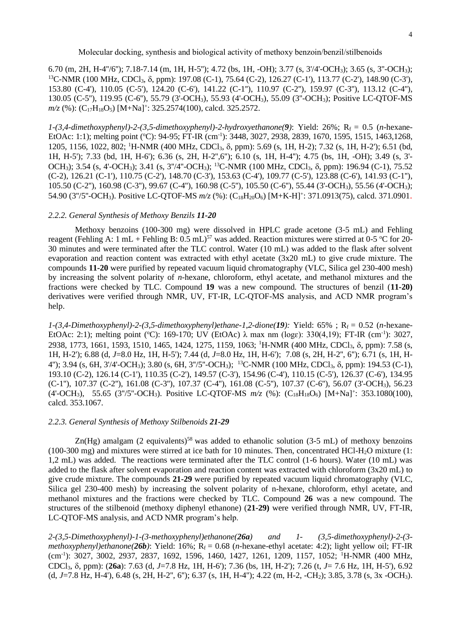6.70 (m, 2H, H-4''/6''); 7.18-7.14 (m, 1H, H-5''); 4.72 (bs, 1H, -OH); 3.77 (s, 3'/4'-OCH3); 3.65 (s, 3''-OCH3);  $13C-NMR$  (100 MHz, CDCl<sub>3</sub>,  $\delta$ , ppm): 197.08 (C-1), 75.64 (C-2), 126.27 (C-1'), 113.77 (C-2'), 148.90 (C-3'), 153.80 (C-4'), 110.05 (C-5'), 124.20 (C-6'), 141.22 (C-1''), 110.97 (C-2''), 159.97 (C-3''), 113.12 (C-4''), 130.05 (C-5''), 119.95 (C-6''), 55.79 (3'-OCH3), 55.93 (4'-OCH3), 55.09 (3''-OCH3); Positive LC-QTOF-MS *m/z* (%): (C<sub>17</sub>H<sub>18</sub>O<sub>5</sub>) [M+Na]<sup>+</sup>: 325.2574(100), calcd. 325.2572.

*1-(3,4-dimethoxyphenyl)-2-(3,5-dimethoxyphenyl)-2-hydroxyethanone(9)*: Yield: 26%; Rf = 0.5 (*n-*hexane-EtOAc: 1:1); melting point (°C): 94-95; FT-IR (cm<sup>-1</sup>): 3448, 3027, 2938, 2839, 1670, 1595, 1515, 1463,1268, 1205, 1156, 1022, 802; <sup>1</sup>H-NMR (400 MHz, CDCl<sub>3</sub>,  $\delta$ , ppm): 5.69 (s, 1H, H-2); 7.32 (s, 1H, H-2'); 6.51 (bd, 1H, H-5'); 7.33 (bd, 1H, H-6'); 6.36 (s, 2H, H-2'',6''); 6.10 (s, 1H, H-4''); 4.75 (bs, 1H, -OH); 3.49 (s, 3'- OCH<sub>3</sub>); 3.54 (s, 4'-OCH<sub>3</sub>); 3.41 (s, 3"/4"-OCH<sub>3</sub>); <sup>13</sup>C-NMR (100 MHz, CDCl<sub>3</sub>,  $\delta$ , ppm): 196.94 (C-1), 75.52 (C-2), 126.21 (C-1'), 110.75 (C-2'), 148.70 (C-3'), 153.63 (C-4'), 109.77 (C-5'), 123.88 (C-6'), 141.93 (C-1''), 105.50 (C-2''), 160.98 (C-3''), 99.67 (C-4''), 160.98 (C-5''), 105.50 (C-6''), 55.44 (3'-OCH3), 55.56 (4'-OCH3); 54.90 (3"/5"-OCH<sub>3</sub>). Positive LC-QTOF-MS  $m/z$  (%): (C<sub>18</sub>H<sub>20</sub>O<sub>6</sub>) [M+K-H]<sup>+</sup>: 371.0913(75), calcd. 371.0901.

#### *2.2.2. General Synthesis of Methoxy Benzils 11-20*

Methoxy benzoins (100-300 mg) were dissolved in HPLC grade acetone (3-5 mL) and Fehling reagent (Fehling A: 1 mL + Fehling B: 0.5 mL)<sup>57</sup> was added. Reaction mixtures were stirred at 0-5 °C for 20-30 minutes and were terminated after the TLC control. Water (10 mL) was added to the flask after solvent evaporation and reaction content was extracted with ethyl acetate (3x20 mL) to give crude mixture. The compounds **11-20** were purified by repeated vacuum liquid chromatography (VLC, Silica gel 230-400 mesh) by increasing the solvent polarity of *n*-hexane, chloroform, ethyl acetate, and methanol mixtures and the fractions were checked by TLC. Compound **19** was a new compound. The structures of benzil (**11-20)**  derivatives were verified through NMR, UV, FT-IR, LC-QTOF-MS analysis, and ACD NMR program's help.

*1*-(3,4-Dimethoxyphenyl)-2-(3,5-dimethoxyphenyl)ethane-1,2-dione(19): Yield: 65%; R<sub>f</sub> = 0.52 (*n*-hexane-EtOAc: 2:1); melting point (°C): 169-170; UV (EtOAc)  $\lambda$  max nm (loge): 330(4,19); FT-IR (cm<sup>-1</sup>): 3027, 2938, 1773, 1661, 1593, 1510, 1465, 1424, 1275, 1159, 1063; <sup>1</sup>H-NMR (400 MHz, CDCl<sub>3</sub>, δ, ppm): 7.58 (s, 1H, H-2'); 6.88 (d, *J*=8.0 Hz, 1H, H-5'); 7.44 (d, *J*=8.0 Hz, 1H, H-6'); 7.08 (s, 2H, H-2'', 6''); 6.71 (s, 1H, H-4"); 3.94 (s, 6H, 3'/4'-OCH<sub>3</sub>); 3.80 (s, 6H, 3"/5"-OCH<sub>3</sub>); <sup>13</sup>C-NMR (100 MHz, CDCl<sub>3</sub>,  $\delta$ , ppm): 194.53 (C-1), 193.10 (C-2), 126.14 (C-1'), 110.35 (C-2'), 149.57 (C-3'), 154.96 (C-4'), 110.15 (C-5'), 126.37 (C-6'), 134.95 (C-1''), 107.37 (C-2''), 161.08 (C-3''), 107.37 (C-4''), 161.08 (C-5''), 107.37 (C-6''), 56.07 (3'-OCH3), 56.23 (4'-OCH<sub>3</sub>), 55.65 (3"/5"-OCH<sub>3</sub>). Positive LC-QTOF-MS  $m/z$  (%): (C<sub>18</sub>H<sub>18</sub>O<sub>6</sub>) [M+Na]<sup>+</sup>: 353.1080(100), calcd. 353.1067.

## *2.2.3. General Synthesis of Methoxy Stilbenoids 21-29*

Zn(Hg) amalgam (2 equivalents)<sup>58</sup> was added to ethanolic solution (3-5 mL) of methoxy benzoins  $(100-300 \text{ mg})$  and mixtures were stirred at ice bath for 10 minutes. Then, concentrated HCl-H<sub>2</sub>O mixture (1: 1,2 mL) was added. The reactions were terminated after the TLC control (1-6 hours). Water (10 mL) was added to the flask after solvent evaporation and reaction content was extracted with chloroform (3x20 mL) to give crude mixture. The compounds **21-29** were purified by repeated vacuum liquid chromatography (VLC, Silica gel 230-400 mesh) by increasing the solvent polarity of n-hexane, chloroform, ethyl acetate, and methanol mixtures and the fractions were checked by TLC. Compound **26** was a new compound. The structures of the stilbenoid (methoxy diphenyl ethanone) (**21-29)** were verified through NMR, UV, FT-IR, LC-QTOF-MS analysis, and ACD NMR program's help.

*2-(3,5-Dimethoxyphenyl)-1-(3-methoxyphenyl)ethanone(26a) and 1- (3,5-dimethoxyphenyl)-2-(3 methoxyphenyl)ethanone*( $26b$ ): Yield: 16%; R<sub>f</sub> = 0.68 (*n*-hexane-ethyl acetate: 4:2); light yellow oil; FT-IR (cm-1 ): 3027, 3002, 2937, 2837, 1692, 1596, 1460, 1427, 1261, 1209, 1157, 1052; <sup>1</sup>H-NMR (400 MHz, CDCl3, , ppm): (**26a**): 7.63 (d, *J*=7.8 Hz, 1H, H-6'); 7.36 (bs, 1H, H-2'); 7.26 (t, *J*= 7.6 Hz, 1H, H-5'), 6.92 (d, *J*=7.8 Hz, H-4'), 6.48 (s, 2H, H-2'', 6''); 6.37 (s, 1H, H-4''); 4.22 (m, H-2, -CH2); 3.85, 3.78 (s, 3x -OCH3).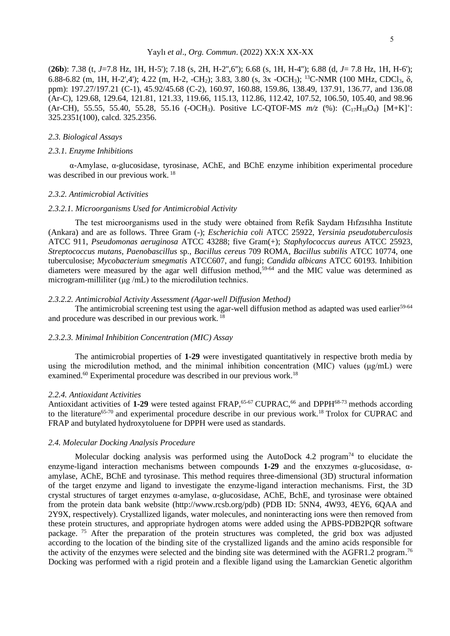#### Yaylı *et al*., *Org. Commun*. (2022) XX:X XX-XX

(**26b**): 7.38 (t, *J*=7.8 Hz, 1H, H-5'); 7.18 (s, 2H, H-2'',6''); 6.68 (s, 1H, H-4''); 6.88 (d, *J*= 7.8 Hz, 1H, H-6'); 6.88-6.82 (m, 1H, H-2',4'); 4.22 (m, H-2, -CH<sub>2</sub>); 3.83, 3.80 (s, 3x -OCH<sub>3</sub>); <sup>13</sup>C-NMR (100 MHz, CDCl<sub>3</sub>,  $\delta$ , ppm): 197.27/197.21 (C-1), 45.92/45.68 (C-2), 160.97, 160.88, 159.86, 138.49, 137.91, 136.77, and 136.08 (Ar-C), 129.68, 129.64, 121.81, 121.33, 119.66, 115.13, 112.86, 112.42, 107.52, 106.50, 105.40, and 98.96 (Ar-CH), 55.55, 55.40, 55.28, 55.16 (-OCH<sub>3</sub>). Positive LC-QTOF-MS  $m/z$  (%): (C<sub>17</sub>H<sub>18</sub>O<sub>4</sub>) [M+K]<sup>+</sup>: 325.2351(100), calcd. 325.2356.

## *2.3. Biological Assays*

#### *2.3.1. Enzyme Inhibitions*

α-Amylase, α-glucosidase, tyrosinase, AChE, and BChE enzyme inhibition experimental procedure was described in our previous work. <sup>18</sup>

#### *2.3.2. Antimicrobial Activities*

#### *2.3.2.1. Microorganisms Used for Antimicrobial Activity*

The test microorganisms used in the study were obtained from Refik Saydam Hıfzısıhha Institute (Ankara) and are as follows. Three Gram (-); *Escherichia coli* ATCC 25922, *Yersinia pseudotuberculosis*  ATCC 911, *Pseudomonas aeruginosa* ATCC 43288; five Gram(+); *Staphylococcus aureus* ATCC 25923, *Streptococcus mutans, Paenobascillus* sp., *Bacillus cereus* 709 ROMA, *Bacillus subtilis* ATCC 10774, one tuberculosise; *Mycobacterium smegmatis* ATCC607, and fungi; *Candida albicans* ATCC 60193. Inhibition diameters were measured by the agar well diffusion method,<sup>59-64</sup> and the MIC value was determined as microgram-milliliter (μg /mL) to the microdilution technics.

#### *2.3.2.2. Antimicrobial Activity Assessment (Agar-well Diffusion Method)*

The antimicrobial screening test using the agar-well diffusion method as adapted was used earlier<sup>59-64</sup> and procedure was described in our previous work. <sup>18</sup>

# *2.3.2.3. Minimal Inhibition Concentration (MIC) Assay*

The antimicrobial properties of **1-29** were investigated quantitatively in respective broth media by using the microdilution method, and the minimal inhibition concentration (MIC) values ( $\mu$ g/mL) were examined.<sup>60</sup> Experimental procedure was described in our previous work.<sup>18</sup>

## *2.2.4. Antioxidant Activities*

Antioxidant activities of 1-29 were tested against FRAP,<sup>65-67</sup> CUPRAC,<sup>66</sup> and DPPH<sup>68-73</sup> methods according to the literature<sup>65-70</sup> and experimental procedure describe in our previous work.<sup>18</sup> Trolox for CUPRAC and FRAP and butylated hydroxytoluene for DPPH were used as standards.

#### *2.4. Molecular Docking Analysis Procedure*

Molecular docking analysis was performed using the AutoDock 4.2 program<sup>74</sup> to elucidate the enzyme-ligand interaction mechanisms between compounds **1-29** and the enxzymes α-glucosidase, αamylase, AChE, BChE and tyrosinase. This method requires three-dimensional (3D) structural information of the target enzyme and ligand to investigate the enzyme-ligand interaction mechanisms. First, the 3D crystal structures of target enzymes α-amylase, α-glucosidase, AChE, BchE, and tyrosinase were obtained from the protein data bank website (http://www.rcsb.org/pdb) (PDB ID: 5NN4, 4W93, 4EY6, 6QAA and 2Y9X, respectively). Crystallized ligands, water molecules, and noninteracting ions were then removed from these protein structures, and appropriate hydrogen atoms were added using the APBS-PDB2PQR software package.<sup>75</sup> After the preparation of the protein structures was completed, the grid box was adjusted according to the location of the binding site of the crystallized ligands and the amino acids responsible for the activity of the enzymes were selected and the binding site was determined with the AGFR1.2 program.<sup>76</sup> Docking was performed with a rigid protein and a flexible ligand using the Lamarckian Genetic algorithm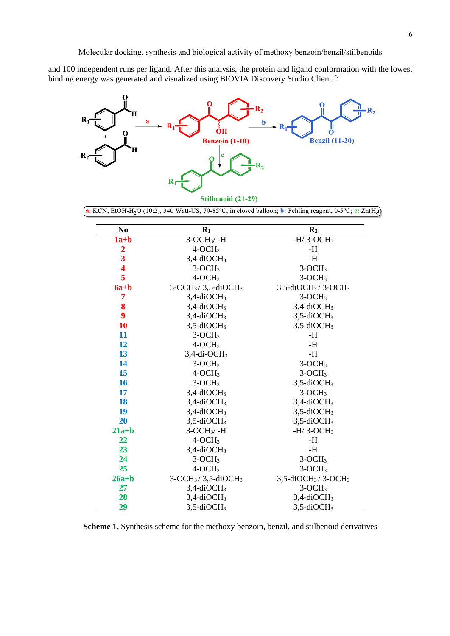and 100 independent runs per ligand. After this analysis, the protein and ligand conformation with the lowest binding energy was generated and visualized using BIOVIA Discovery Studio Client.<sup>77</sup>



 $\int$ a: KCN, EtOH-H<sub>2</sub>O (10:2), 340 Watt-US, 70-85°C, in closed balloon; **b**: Fehling reagent, 0-5°C; c: Zn(Hg)

| N <sub>0</sub>          | $R_1$                      | R <sub>2</sub>                                |
|-------------------------|----------------------------|-----------------------------------------------|
| $1a+b$                  | $3-OCH3/-H$                | -H/3-OCH <sub>3</sub>                         |
| $\overline{2}$          | $4-OCH3$                   | -H                                            |
| $\overline{\mathbf{3}}$ | $3,4$ -diOCH <sub>3</sub>  | $-H$                                          |
| 4                       | $3-OCH3$                   | $3-OCH3$                                      |
| 5                       | $4-OCH3$                   | $3-OCH3$                                      |
| $6a + b$                | $3-OCH3/3,5-diOCH3$        | $3,5$ -diOCH <sub>3</sub> /3-OCH <sub>3</sub> |
| 7                       | $3,4$ -diOCH <sub>3</sub>  | $3-OCH3$                                      |
| 8                       | $3,4$ -diOCH <sub>3</sub>  | $3,4$ -diOCH <sub>3</sub>                     |
| 9                       | $3,4$ -diOCH <sub>3</sub>  | $3,5$ -diOCH <sub>3</sub>                     |
| 10                      | $3,5$ -diOCH <sub>3</sub>  | $3,5$ -diOCH <sub>3</sub>                     |
| 11                      | $3-OCH3$                   | -H                                            |
| 12                      | $4-OCH3$                   | $-H$                                          |
| 13                      | $3,4$ -di-OCH <sub>3</sub> | $-H$                                          |
| 14                      | $3-OCH3$                   | $3-OCH3$                                      |
| 15                      | $4-OCH3$                   | $3-OCH3$                                      |
| 16                      | $3-OCH3$                   | $3,5$ -diOCH <sub>3</sub>                     |
| 17                      | $3,4$ -diOCH <sub>3</sub>  | $3-OCH3$                                      |
| 18                      | $3,4$ -diOCH <sub>3</sub>  | $3,4$ -diOCH <sub>3</sub>                     |
| 19                      | $3,4$ -diOCH <sub>3</sub>  | $3,5$ -diOCH <sub>3</sub>                     |
| 20                      | $3,5$ -diOCH <sub>3</sub>  | $3,5$ -diOCH <sub>3</sub>                     |
| $21a+b$                 | $3-OCH3/-H$                | $-H/3-OCH3$                                   |
| 22                      | $4-OCH3$                   | -H                                            |
| 23                      | $3,4$ -diOCH <sub>3</sub>  | $-H$                                          |
| 24                      | $3-OCH3$                   | $3-OCH3$                                      |
| 25                      | $4-OCH3$                   | $3-OCH3$                                      |
| $26a+b$                 | $3-OCH3/3,5-diOCH3$        | $3,5$ -diOCH <sub>3</sub> /3-OCH <sub>3</sub> |
| 27                      | $3,4$ -diOCH <sub>3</sub>  | $3-OCH3$                                      |
| 28                      | $3,4$ -diOCH <sub>3</sub>  | $3,4$ -diOCH <sub>3</sub>                     |
| 29                      | $3,5$ -diOCH <sub>3</sub>  | $3,5$ -diOCH <sub>3</sub>                     |

**Scheme 1.** Synthesis scheme for the methoxy benzoin, benzil, and stilbenoid derivatives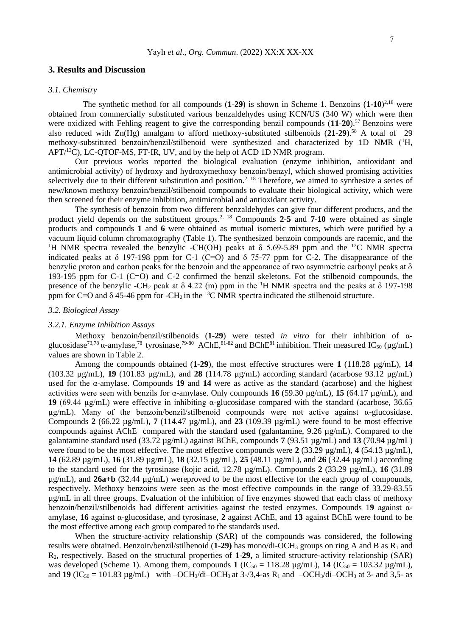# **3. Results and Discussion**

## *3.1. Chemistry*

The synthetic method for all compounds (**1**-**29**) is shown in Scheme 1. Benzoins (**1-10**) 2,18 were obtained from commercially substituted various benzaldehydes using KCN/US (340 W) which were then were oxidized with Fehling reagent to give the corresponding benzil compounds  $(11-20)$ .<sup>57</sup> Benzoins were also reduced with Zn(Hg) amalgam to afford methoxy-substituted stilbenoids (**21**-**29**).<sup>58</sup> A total of 29 methoxy-substituted benzoin/benzil/stilbenoid were synthesized and characterized by 1D NMR (<sup>1</sup>H,  $APT^{13}C$ ), LC-QTOF-MS, FT-IR, UV, and by the help of ACD 1D NMR program.

Our previous works reported the biological evaluation (enzyme inhibition, antioxidant and antimicrobial activity) of hydroxy and hydroxymethoxy benzoin/benzyl, which showed promising activities selectively due to their different substitution and position.<sup>2, 18</sup> Therefore, we aimed to synthesize a series of new/known methoxy benzoin/benzil/stilbenoid compounds to evaluate their biological activity, which were then screened for their enzyme inhibition, antimicrobial and antioxidant activity.

The synthesis of benzoin from two different benzaldehydes can give four different products, and the product yield depends on the substituent groups. 2, 18 Compounds **2**-**5** and **7**-**10** were obtained as single products and compounds **1** and **6** were obtained as mutual isomeric mixtures, which were purified by a vacuum liquid column chromatography (Table 1). The synthesized benzoin compounds are racemic, and the <sup>1</sup>H NMR spectra revealed the benzylic -CH(OH) peaks at  $\delta$  5.69-5.89 ppm and the <sup>13</sup>C NMR spectra indicated peaks at  $\delta$  197-198 ppm for C-1 (C=O) and  $\delta$  75-77 ppm for C-2. The disappearance of the benzylic proton and carbon peaks for the benzoin and the appearance of two asymmetric carbonyl peaks at  $\delta$ 193-195 ppm for C-1 (C=O) and C-2 confirmed the benzil skeletons. Fot the stilbenoid compounds, the presence of the benzylic -CH<sub>2</sub> peak at  $\delta$  4.22 (m) ppm in the <sup>1</sup>H NMR spectra and the peaks at  $\delta$  197-198 ppm for C=O and  $\delta$  45-46 ppm for -CH<sub>2</sub> in the <sup>13</sup>C NMR spectra indicated the stilbenoid structure.

# *3.2. Biological Assay*

#### *3.2.1. Enzyme Inhibition Assays*

Methoxy benzoin/benzil/stilbenoids (**1-29**) were tested *in vitro* for their inhibition of αglucosidase<sup>73,78</sup>  $\alpha$ -amylase,<sup>78</sup> tyrosinase,<sup>79-80</sup> AChE,<sup>81-82</sup> and BChE<sup>81</sup> inhibition. Their measured IC<sub>50</sub> (µg/mL) values are shown in Table 2.

Among the compounds obtained (**1-29**), the most effective structures were **1** (118.28 µg/mL), **14**  (103.32 µg/mL), **19** (101.83 µg/mL), and **28** (114.78 µg/mL) according standard (acarbose 93.12 µg/mL) used for the α-amylase. Compounds **19** and **14** were as active as the standard (acarbose) and the highest activities were seen with benzils for  $\alpha$ -amylase. Only compounds **16** (59.30  $\mu$ g/mL), **15** (64.17  $\mu$ g/mL), and **19** (69.44 µg/mL) were effective in inhibiting α-glucosidase compared with the standard (acarbose, 36.65  $\mu$ g/mL). Many of the benzoin/benzil/stilbenoid compounds were not active against  $\alpha$ -glucosidase. Compounds 2 (66.22  $\mu$ g/mL), 7 (114.47  $\mu$ g/mL), and 23 (109.39  $\mu$ g/mL) were found to be most effective compounds against AChE compared with the standard used (galantamine, 9.26 µg/mL). Compared to the galantamine standard used (33.72 µg/mL) against BChE, compounds **7** (93.51 µg/mL) and **13** (70.94 µg/mL) were found to be the most effective. The most effective compounds were 2 (33.29  $\mu$ g/mL), 4 (54.13  $\mu$ g/mL), **14** (62.89 µg/mL), **16** (31.89 µg/mL), **18** (32.15 µg/mL), **25** (48.11 µg/mL), and **26** (32.44 µg/mL) according to the standard used for the tyrosinase (kojic acid, 12.78 µg/mL). Compounds **2** (33.29 µg/mL), **16** (31.89 µg/mL), and **26a+b** (32.44 µg/mL) wereproved to be the most effective for the each group of compounds, respectively. Methoxy benzoins were seen as the most effective compounds in the range of 33.29-83.55 µg/mL in all three groups. Evaluation of the inhibition of five enzymes showed that each class of methoxy benzoin/benzil/stilbenoids had different activities against the tested enzymes. Compounds 1**9** against αamylase, **16** against α-glucosidase, and tyrosinase, **2** against AChE, and **13** against BChE were found to be the most effective among each group compared to the standards used.

When the structure-activity relationship (SAR) of the compounds was considered, the following results were obtained. Benzoin/benzil/stilbenoid (**1-29**) has mono/di-OCH<sub>3</sub> groups on ring A and B as  $R_1$  and R2, respectively. Based on the structural properties of **1**-**29,** a limited structure-activity relationship (SAR) was developed (Scheme 1). Among them, compounds  $1$  (IC<sub>50</sub> = 118.28 µg/mL),  $14$  (IC<sub>50</sub> = 103.32 µg/mL), and **19**  $(IC_{50} = 101.83 \text{ µg/mL})$  with  $-OCH_3/di-OCH_3$  at 3-/3,4-as R<sub>1</sub> and  $-OCH_3/di-OCH_3$  at 3- and 3,5- as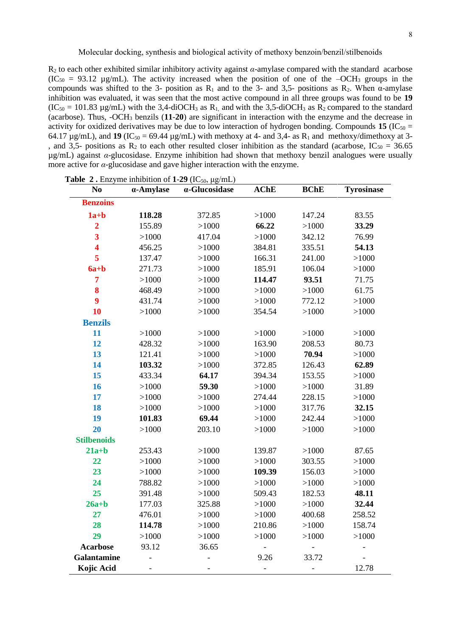R<sup>2</sup> to each other exhibited similar inhibitory activity against *α*-amylase compared with the standard acarbose  $(IC_{50} = 93.12 \text{ µg/mL})$ . The activity increased when the position of one of the  $-OCH_3$  groups in the compounds was shifted to the 3- position as  $R_1$  and to the 3- and 3,5- positions as  $R_2$ . When  $\alpha$ -amylase inhibition was evaluated, it was seen that the most active compound in all three groups was found to be **19**  $(IC_{50} = 101.83 \,\mu\text{g/mL})$  with the 3,4-diOCH<sub>3</sub> as R<sub>1</sub>, and with the 3,5-diOCH<sub>3</sub> as R<sub>2</sub> compared to the standard (acarbose). Thus, -OCH<sup>3</sup> benzils (**11**-**20**) are significant in interaction with the enzyme and the decrease in activity for oxidized derivatives may be due to low interaction of hydrogen bonding. Compounds **15** (IC<sub>50</sub> = 64.17  $\mu$ g/mL), and **19** (IC<sub>50</sub> = 69.44  $\mu$ g/mL) with methoxy at 4- and 3,4- as R<sub>1</sub> and methoxy/dimethoxy at 3-, and 3,5- positions as  $R_2$  to each other resulted closer inhibition as the standard (acarbose,  $IC_{50} = 36.65$ ) µg/mL) against *α*-glucosidase. Enzyme inhibition had shown that methoxy benzil analogues were usually more active for *α*-glucosidase and gave higher interaction with the enzyme.

| N <sub>0</sub>          | mmonnon or <b>x</b><br>α-Amylase | $(10, 0, \mu_{\rm B} \mu_{\rm H}$<br>$\alpha$ -Glucosidase | <b>AChE</b>              | <b>BChE</b>                  | <b>Tyrosinase</b> |
|-------------------------|----------------------------------|------------------------------------------------------------|--------------------------|------------------------------|-------------------|
| <b>Benzoins</b>         |                                  |                                                            |                          |                              |                   |
| $1a+b$                  | 118.28                           | 372.85                                                     | >1000                    | 147.24                       | 83.55             |
| $\overline{2}$          | 155.89                           | >1000                                                      | 66.22                    | >1000                        | 33.29             |
| $\overline{\mathbf{3}}$ | >1000                            | 417.04                                                     | >1000                    | 342.12                       | 76.99             |
| $\overline{\mathbf{4}}$ | 456.25                           | >1000                                                      | 384.81                   | 335.51                       | 54.13             |
| 5                       | 137.47                           | >1000                                                      | 166.31                   | 241.00                       | >1000             |
| $6a + b$                | 271.73                           | >1000                                                      | 185.91                   | 106.04                       | >1000             |
| $\overline{7}$          | >1000                            | >1000                                                      | 114.47                   | 93.51                        | 71.75             |
| 8                       | 468.49                           | >1000                                                      | >1000                    | >1000                        | 61.75             |
| $\boldsymbol{9}$        | 431.74                           | >1000                                                      | >1000                    | 772.12                       | >1000             |
| 10                      | >1000                            | >1000                                                      | 354.54                   | >1000                        | >1000             |
| <b>Benzils</b>          |                                  |                                                            |                          |                              |                   |
| 11                      | >1000                            | >1000                                                      | >1000                    | >1000                        | >1000             |
| 12                      | 428.32                           | >1000                                                      | 163.90                   | 208.53                       | 80.73             |
| 13                      | 121.41                           | >1000                                                      | >1000                    | 70.94                        | >1000             |
| 14                      | 103.32                           | >1000                                                      | 372.85                   | 126.43                       | 62.89             |
| 15                      | 433.34                           | 64.17                                                      | 394.34                   | 153.55                       | >1000             |
| 16                      | >1000                            | 59.30                                                      | >1000                    | >1000                        | 31.89             |
| 17                      | >1000                            | >1000                                                      | 274.44                   | 228.15                       | >1000             |
| 18                      | >1000                            | >1000                                                      | >1000                    | 317.76                       | 32.15             |
| 19                      | 101.83                           | 69.44                                                      | >1000                    | 242.44                       | >1000             |
| 20                      | >1000                            | 203.10                                                     | >1000                    | >1000                        | >1000             |
| <b>Stilbenoids</b>      |                                  |                                                            |                          |                              |                   |
| $21a+b$                 | 253.43                           | >1000                                                      | 139.87                   | >1000                        | 87.65             |
| 22                      | >1000                            | >1000                                                      | >1000                    | 303.55                       | >1000             |
| 23                      | >1000                            | >1000                                                      | 109.39                   | 156.03                       | >1000             |
| 24                      | 788.82                           | >1000                                                      | >1000                    | >1000                        | >1000             |
| 25                      | 391.48                           | >1000                                                      | 509.43                   | 182.53                       | 48.11             |
| $26a+b$                 | 177.03                           | 325.88                                                     | >1000                    | >1000                        | 32.44             |
| 27                      | 476.01                           | >1000                                                      | >1000                    | 400.68                       | 258.52            |
| 28                      | 114.78                           | >1000                                                      | 210.86                   | >1000                        | 158.74            |
| 29                      | >1000                            | >1000                                                      | >1000                    | >1000                        | >1000             |
| <b>Acarbose</b>         | 93.12                            | 36.65                                                      | $\overline{\phantom{a}}$ | $\qquad \qquad \blacksquare$ |                   |
| Galantamine             |                                  |                                                            | 9.26                     | 33.72                        | $\frac{1}{2}$     |
| <b>Kojic Acid</b>       |                                  |                                                            | $\overline{\phantom{a}}$ |                              | 12.78             |

**Table 2.** Enzyme inhibition of  $1-29$  (IC<sub>50, μg/mL)</sub>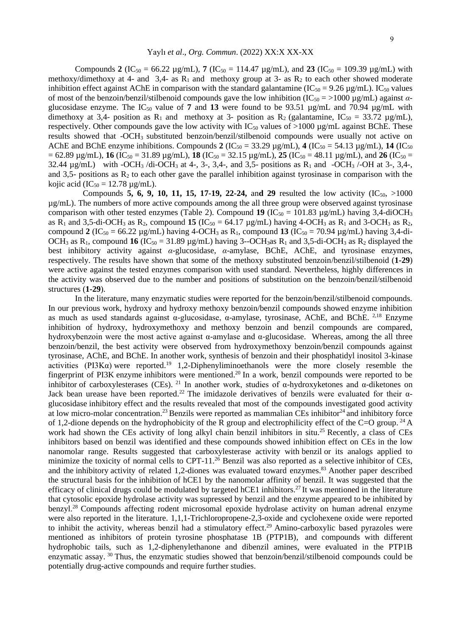Compounds **2** (IC<sub>50</sub> = 66.22 µg/mL), **7** (IC<sub>50</sub> = 114.47 µg/mL), and **23** (IC<sub>50</sub> = 109.39 µg/mL) with methoxy/dimethoxy at 4- and 3,4- as  $R_1$  and methoxy group at 3- as  $R_2$  to each other showed moderate inhibition effect against AChE in comparison with the standard galantamine ( $IC_{50} = 9.26 \mu g/mL$ ). IC<sub>50</sub> values of most of the benzoin/benzil/stilbenoid compounds gave the low inhibition (IC<sub>50</sub> = >1000 μg/mL) against *α*glucosidase enzyme. The  $IC_{50}$  value of 7 and 13 were found to be 93.51  $\mu$ g/mL and 70.94  $\mu$ g/mL with dimethoxy at 3,4- position as R<sub>1</sub> and methoxy at 3- position as R<sub>2</sub> (galantamine,  $IC_{50} = 33.72 \text{ µg/mL}$ ), respectively. Other compounds gave the low activity with  $IC_{50}$  values of  $>1000 \mu$ g/mL against BChE. These results showed that -OCH<sub>3</sub> substituted benzoin/benzil/stilbenoid compounds were usually not active on AChE and BChE enzyme inhibitions. Compounds 2  $(IC_{50} = 33.29 \text{ µg/mL})$ , 4  $(IC_{50} = 54.13 \text{ µg/mL})$ , 14  $(IC_{50} = 54.13 \text{ µg/mL})$  $= 62.89 \text{ µg/mL}$ ), **16**  $(IC_{50} = 31.89 \text{ µg/mL})$ , **18**  $(IC_{50} = 32.15 \text{ µg/mL})$ , **25**  $(IC_{50} = 48.11 \text{ µg/mL})$ , and **26**  $(IC_{50} = 32.15 \text{ µg/mL})$ 32.44  $\mu$ g/mL) with -OCH<sub>3</sub> /di-OCH<sub>3</sub> at 4-, 3-, 3,4-, and 3,5- positions as R<sub>1</sub> and -OCH<sub>3</sub> /-OH at 3-, 3,4-, and 3,5- positions as  $R_2$  to each other gave the parallel inhibition against tyrosinase in comparison with the kojic acid (IC<sub>50</sub> = 12.78  $\mu$ g/mL).

Compounds **5, 6, 9, 10, 11, 15, 17-19, 22-24, and 29** resulted the low activity  $(IC_{50}$ ,  $>1000$ µg/mL). The numbers of more active compounds among the all three group were observed against tyrosinase comparison with other tested enzymes (Table 2). Compound 19 ( $IC_{50} = 101.83 \mu g/mL$ ) having 3,4-diOCH<sub>3</sub> as R<sub>1</sub> and 3,5-di-OCH<sub>3</sub> as R<sub>2</sub>, compound **15** (IC<sub>50</sub> = 64.17 µg/mL) having 4-OCH<sub>3</sub> as R<sub>1</sub> and 3-OCH<sub>3</sub> as R<sub>2</sub>, compound **2** (IC<sub>50</sub> = 66.22 µg/mL) having 4-OCH<sub>3</sub> as R<sub>1</sub>, compound **13** (IC<sub>50</sub> = 70.94 µg/mL) having 3,4-di-OCH<sub>3</sub> as R<sub>1</sub>, compound **16** (IC<sub>50</sub> = 31.89  $\mu$ g/mL) having 3--OCH<sub>3</sub>as R<sub>1</sub> and 3.5-di-OCH<sub>3</sub> as R<sub>2</sub> displayed the best inhibitory activity against *α*-glucosidase, *α*-amylase, BChE, AChE, and tyrosinase enzymes, respectively. The results have shown that some of the methoxy substituted benzoin/benzil/stilbenoid (**1-29**) were active against the tested enzymes comparison with used standard. Nevertheless, highly differences in the activity was observed due to the number and positions of substitution on the benzoin/benzil/stilbenoid structures (**1-29**).

In the literature, many enzymatic studies were reported for the benzoin/benzil/stilbenoid compounds. In our previous work, hydroxy and hydroxy methoxy benzoin/benzil compounds showed enzyme inhibition as much as used standards against α-glucosidase, α-amylase, tyrosinase, AChE, and BChE. 2,18 Enzyme inhibition of hydroxy, hydroxymethoxy and methoxy benzoin and benzil compounds are compared, hydroxybenzoin were the most active against α-amylase and α-glucosidase. Whereas, among the all three benzoin/benzil, the best activity were observed from hydroxymethoxy benzoin/benzil compounds against tyrosinase, AChE, and BChE. In another work, synthesis of benzoin and their phosphatidyl inositol 3-kinase activities (PI3K $\alpha$ ) were reported.<sup>19</sup> 1,2-Diphenyliminoethanols were the more closely resemble the fingerprint of PI3K enzyme inhibitors were mentioned.<sup>20</sup> In a work, benzil compounds were reported to be inhibitor of carboxylesterases (CEs). <sup>21</sup> In another work, studies of  $\alpha$ -hydroxyketones and  $\alpha$ -diketones on Jack bean urease have been reported.<sup>22</sup> The imidazole derivatives of benzils were evaluated for their  $\alpha$ glucosidase inhibitory effect and the results revealed that most of the compounds investigated good activity at low micro-molar concentration.<sup>23</sup> Benzils were reported as mammalian CEs inhibitor<sup>24</sup> and inhibitory force of 1,2-dione depends on the hydrophobicity of the R group and electrophilicity effect of the C=O group.<sup>24</sup> A work had shown the CEs activity of long alkyl chain benzil inhibitors in situ.<sup>25</sup> Recently, a class of CEs inhibitors based on benzil was identified and these compounds showed inhibition effect on CEs in the low nanomolar range. Results suggested that carboxylesterase activity with benzil or its analogs applied to minimize the toxicity of normal cells to CPT-11.<sup>26</sup> Benzil was also reported as a selective inhibitor of CEs, and the inhibitory activity of related 1,2-diones was evaluated toward enzymes. <sup>83</sup> Another paper described the structural basis for the inhibition of hCE1 by the nanomolar affinity of benzil. It was suggested that the efficacy of clinical drugs could be modulated by targeted hCE1 inhibitors.<sup>27</sup> It was mentioned in the literature that cytosolic epoxide hydrolase activity was supressed by benzil and the enzyme appeared to be inhibited by benzyl.<sup>28</sup> Compounds affecting rodent microsomal epoxide hydrolase activity on human adrenal enzyme were also reported in the literature. 1,1,1-Trichloropropene-2,3-oxide and cyclohexene oxide were reported to inhibit the activity, whereas benzil had a stimulatory effect.<sup>29</sup> Amino-carboxylic based pyrazoles were mentioned as inhibitors of protein tyrosine phosphatase 1B (PTP1B), and compounds with different hydrophobic tails, such as 1,2-diphenylethanone and dibenzil amines, were evaluated in the PTP1B enzymatic assay. <sup>30</sup> Thus, the enzymatic studies showed that benzoin/benzil/stilbenoid compounds could be potentially drug-active compounds and require further studies.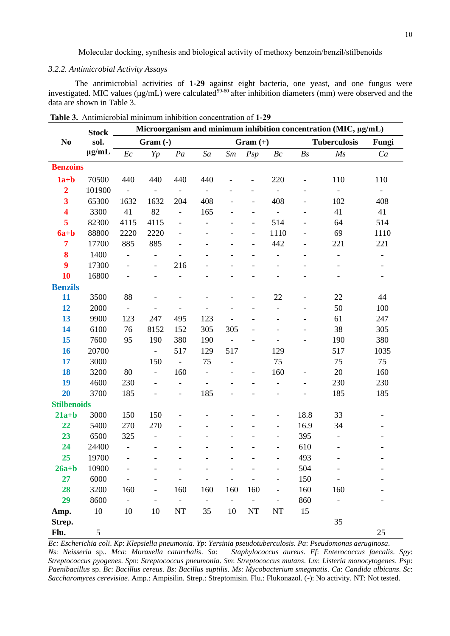# *3.2.2. Antimicrobial Activity Assays*

The antimicrobial activities of **1-29** against eight bacteria, one yeast, and one fungus were investigated. MIC values (µg/mL) were calculated<sup>59-60</sup> after inhibition diameters (mm) were observed and the data are shown in Table 3.

|                         | <b>Stock</b>  | Microorganism and minimum inhibition concentration (MIC, µg/mL) |                              |                          |                          |                          |                          |                              |                          |                          |                          |
|-------------------------|---------------|-----------------------------------------------------------------|------------------------------|--------------------------|--------------------------|--------------------------|--------------------------|------------------------------|--------------------------|--------------------------|--------------------------|
| N <sub>0</sub>          | sol.          | Gram (-)                                                        |                              |                          |                          | $Gram (+)$               |                          |                              | <b>Tuberculosis</b>      |                          | Fungi                    |
|                         | $\mu$ g/mL    | $\mathcal{E}c$                                                  | Yp                           | Pa                       | Sa                       | Sm                       | Psp                      | Bc                           | Bs                       | Ms                       | Ca                       |
| <b>Benzoins</b>         |               |                                                                 |                              |                          |                          |                          |                          |                              |                          |                          |                          |
| $1a+b$                  | 70500         | 440                                                             | 440                          | 440                      | 440                      |                          |                          | 220                          |                          | 110                      | 110                      |
| $\overline{2}$          | 101900        |                                                                 |                              |                          |                          |                          |                          |                              |                          |                          |                          |
| 3                       | 65300         | 1632                                                            | 1632                         | 204                      | 408                      |                          | $\overline{\phantom{a}}$ | 408                          | $\overline{\phantom{a}}$ | 102                      | 408                      |
| $\overline{\mathbf{4}}$ | 3300          | 41                                                              | 82                           | $\frac{1}{2}$            | 165                      |                          |                          | $\overline{\phantom{a}}$     |                          | 41                       | 41                       |
| 5                       | 82300         | 4115                                                            | 4115                         | $\overline{\phantom{0}}$ |                          |                          |                          | 514                          |                          | 64                       | 514                      |
| $6a + b$                | 88800         | 2220                                                            | 2220                         |                          |                          |                          |                          | 1110                         |                          | 69                       | 1110                     |
| $\overline{7}$          | 17700         | 885                                                             | 885                          |                          |                          |                          |                          | 442                          | $\overline{\phantom{0}}$ | 221                      | 221                      |
| 8                       | 1400          |                                                                 |                              |                          |                          |                          |                          |                              | $\overline{\phantom{a}}$ |                          |                          |
| $\boldsymbol{9}$        | 17300         | $\overline{a}$                                                  | $\frac{1}{2}$                | 216                      |                          |                          |                          |                              |                          |                          |                          |
| 10                      | 16800         |                                                                 |                              |                          |                          |                          |                          |                              |                          |                          |                          |
| <b>Benzils</b>          |               |                                                                 |                              |                          |                          |                          |                          |                              |                          |                          |                          |
| 11                      | 3500          | 88                                                              |                              |                          |                          |                          |                          | 22                           |                          | 22                       | 44                       |
| 12                      | 2000          |                                                                 |                              |                          |                          |                          |                          |                              |                          | 50                       | 100                      |
| 13                      | 9900          | 123                                                             | 247                          | 495                      | 123                      |                          |                          |                              | $\overline{\phantom{a}}$ | 61                       | 247                      |
| 14                      | 6100          | 76                                                              | 8152                         | 152                      | 305                      | 305                      |                          |                              |                          | 38                       | 305                      |
| 15                      | 7600          | 95                                                              | 190                          | 380                      | 190                      |                          |                          | $\overline{a}$               |                          | 190                      | 380                      |
| 16                      | 20700         |                                                                 | $\overline{\phantom{a}}$     | 517                      | 129                      | 517                      |                          | 129                          |                          | 517                      | 1035                     |
| 17                      | 3000          |                                                                 | 150                          | $\overline{\phantom{a}}$ | 75                       |                          |                          | 75                           |                          | 75                       | 75                       |
| 18                      | 3200          | 80                                                              | $\qquad \qquad \blacksquare$ | 160                      |                          |                          |                          | 160                          |                          | 20                       | 160                      |
| 19                      | 4600          | 230                                                             | $\overline{\phantom{0}}$     | $\overline{a}$           |                          |                          |                          | $\overline{\phantom{0}}$     |                          | 230                      | 230                      |
| 20                      | 3700          | 185                                                             |                              | ÷,                       | 185                      |                          |                          | $\overline{\phantom{0}}$     |                          | 185                      | 185                      |
| <b>Stilbenoids</b>      |               |                                                                 |                              |                          |                          |                          |                          |                              |                          |                          |                          |
| $21a+b$                 | 3000          | 150                                                             | 150                          |                          |                          |                          |                          | $\overline{a}$               | 18.8                     | 33                       |                          |
| 22                      | 5400          | 270                                                             | 270                          |                          |                          |                          |                          |                              | 16.9                     | 34                       |                          |
| 23                      | 6500          | 325                                                             | $\qquad \qquad \blacksquare$ |                          |                          |                          |                          | $\overline{\phantom{m}}$     | 395                      | $\overline{\phantom{a}}$ |                          |
| 24                      | 24400         | $\overline{\phantom{0}}$                                        |                              |                          |                          |                          |                          |                              | 610                      |                          |                          |
| 25                      | 19700         | $\qquad \qquad \blacksquare$                                    |                              |                          |                          |                          |                          |                              | 493                      |                          |                          |
| $26a+b$                 | 10900         |                                                                 |                              |                          |                          |                          |                          |                              | 504                      |                          |                          |
| 27                      | 6000          |                                                                 |                              |                          | $\overline{\phantom{0}}$ |                          |                          | $\overline{\phantom{0}}$     | 150                      |                          |                          |
| 28                      | 3200          | 160                                                             | $\overline{\phantom{a}}$     | 160                      | 160                      | 160                      | 160                      | $\qquad \qquad \blacksquare$ | 160                      | 160                      |                          |
| 29                      | 8600          | $\frac{1}{2}$                                                   |                              | $\overline{\phantom{0}}$ | $\overline{\phantom{a}}$ | $\overline{\phantom{a}}$ | $\overline{\phantom{0}}$ | $\overline{\phantom{a}}$     | 860                      | $\overline{\phantom{a}}$ | $\overline{\phantom{a}}$ |
| Amp.                    | 10            | 10                                                              | 10                           | $\rm{NT}$                | 35                       | 10                       | $\rm{NT}$                | $\rm{NT}$                    | 15                       |                          |                          |
| Strep.                  |               |                                                                 |                              |                          |                          |                          |                          |                              |                          | 35                       |                          |
| Flu.                    | $\mathfrak s$ |                                                                 |                              |                          |                          |                          |                          |                              |                          |                          | 25                       |

**Table 3.** Antimicrobial minimum inhibition concentration of **1-29**

*Ec: Escherichia coli*. *Kp*: *Klepsiella pneumonia*. *Yp*: *Yersinia pseudotuberculosis*. *Pa*: *Pseudomonas aeruginosa*. *Ns*: *Neisseria* sp.. *Mca*: *Moraxella catarrhalis*. *Sa*: *Staphylococcus aureus*. *Ef*: *Enterococcus faecalis*. *Spy*: *Streptococcus pyogenes*. *Sp*n: *Streptococcus pneumonia*. *Sm*: *Streptococcus mutans*. *Lm*: *Listeria monocytogenes*. *Psp*: *Paenibacillus* sp. *Bc*: *Bacillus cereus*. *Bs*: *Bacillus suptilis*. *Ms*: *Mycobacterium smegmatis*. *Ca*: *Candida albicans*. *Sc*: *Saccharomyces cerevisiae*. Amp.: Ampisilin. Strep.: Streptomisin. Flu.: Flukonazol. (-): No activity. NT: Not tested.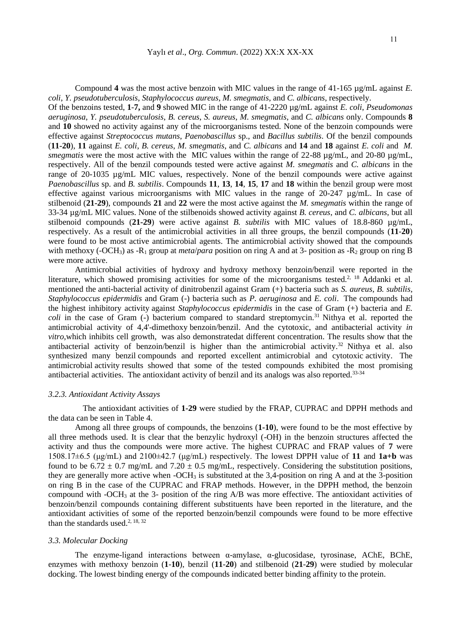Compound **4** was the most active benzoin with MIC values in the range of 41-165 µg/mL against *E. coli*, *Y. pseudotuberculosis*, *Staphylococcus aureus*, *M. smegmatis*, and *C. albicans*, respectively.

Of the benzoins tested, **1**-**7,** and **9** showed MIC in the range of 41-2220 µg/mL against *E. coli*, *Pseudomonas aeruginosa*, *Y. pseudotuberculosis*, *B. cereus*, *S. aureus*, *M. smegmatis*, and *C. albicans* only. Compounds **8** and **10** showed no activity against any of the microorganisms tested. None of the benzoin compounds were effective against *Streptococcus mutans*, *Paenobascillus* sp., and *Bacillus subtilis*. Of the benzil compounds (**11-20**), **11** against *E. coli*, *B. cereus*, *M. smegmatis*, and *C. albicans* and **14** and **18** against *E. coli* and *M. smegmatis* were the most active with the MIC values within the range of 22-88 µg/mL, and 20-80 µg/mL, respectively. All of the benzil compounds tested were active against *M. smegmatis* and *C. albicans* in the range of 20-1035 µg/mL MIC values, respectively. None of the benzil compounds were active against *Paenobascillus* sp. and *B. subtilis*. Compounds **11**, **13**, **14**, **15**, **17** and **18** within the benzil group were most effective against various microorganisms with MIC values in the range of 20-247 µg/mL. In case of stilbenoid (**21-29**), compounds **21** and **22** were the most active against the *M. smegmatis* within the range of 33-34 µg/mL MIC values. None of the stilbenoids showed activity against *B. cereus*, and *C. albicans*, but all stilbenoid compounds  $(21-29)$  were active against *B. subtilis* with MIC values of 18.8-860  $\mu$ g/mL, respectively. As a result of the antimicrobial activities in all three groups, the benzil compounds (**11**-**20**) were found to be most active antimicrobial agents. The antimicrobial activity showed that the compounds with methoxy (-OCH<sub>3</sub>) as -R<sub>1</sub> group at *meta/para* position on ring A and at 3- position as -R<sub>2</sub> group on ring B were more active.

Antimicrobial activities of hydroxy and hydroxy methoxy benzoin/benzil were reported in the literature, which showed promising activities for some of the microorganisms tested.<sup>2, 18</sup> Addanki et al. mentioned the anti-bacterial activity of dinitrobenzil against Gram (+) bacteria such as *S. aureus*, *B. subtilis*, *Staphylococcus epidermidis* and Gram (-) bacteria such as *P. aeruginosa* and *E. coli*. The compounds had the highest inhibitory activity against *Staphylococcus epidermidis* in the case of Gram (+) bacteria and *E. coli* in the case of Gram (-) bacterium compared to standard streptomycin.<sup>31</sup> Nithya et al. reported the antimicrobial activity of 4,4'-dimethoxy benzoin/benzil. And the cytotoxic, and antibacterial activity *in vitro,*which inhibits cell growth, was also demonstratedat different concentration. The results show that the antibacterial activity of benzoin/benzil is higher than the antimicrobial activity.<sup>32</sup> Nithya et al. also synthesized many benzil compounds and reported excellent antimicrobial and cytotoxic activity. The antimicrobial activity results showed that some of the tested compounds exhibited the most promising antibacterial activities. The antioxidant activity of benzil and its analogs was also reported.<sup>33-34</sup>

#### *3.2.3. Antioxidant Activity Assays*

The antioxidant activities of **1-29** were studied by the FRAP, CUPRAC and DPPH methods and the data can be seen in Table 4.

Among all three groups of compounds, the benzoins (**1-10**), were found to be the most effective by all three methods used. It is clear that the benzylic hydroxyl (-OH) in the benzoin structures affected the activity and thus the compounds were more active. The highest CUPRAC and FRAP values of **7** were 1508.17±6.5 (μg/mL) and 2100±42.7 (μg/mL) respectively. The lowest DPPH value of **11** and **1a+b** was found to be  $6.72 \pm 0.7$  mg/mL and  $7.20 \pm 0.5$  mg/mL, respectively. Considering the substitution positions, they are generally more active when  $-OCH_3$  is substituted at the 3,4-position on ring A and at the 3-position on ring B in the case of the CUPRAC and FRAP methods. However, in the DPPH method, the benzoin compound with -OCH<sup>3</sup> at the 3- position of the ring A/B was more effective. The antioxidant activities of benzoin/benzil compounds containing different substituents have been reported in the literature, and the antioxidant activities of some of the reported benzoin/benzil compounds were found to be more effective than the standards used.<sup>2, 18, 32</sup>

## *3.3. Molecular Docking*

The enzyme-ligand interactions between  $\alpha$ -amylase,  $\alpha$ -glucosidase, tyrosinase, AChE, BChE, enzymes with methoxy benzoin (**1**-**10**), benzil (**11**-**20**) and stilbenoid (**21**-**29**) were studied by molecular docking. The lowest binding energy of the compounds indicated better binding affinity to the protein.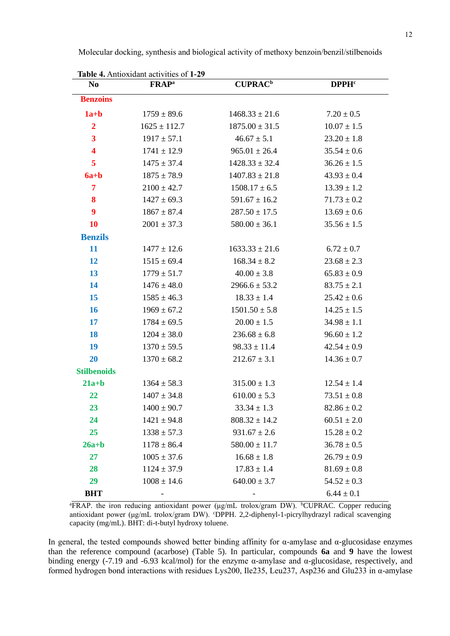| Table 4. Antioxidant activities of 1-29 |                          |                            |                         |  |  |
|-----------------------------------------|--------------------------|----------------------------|-------------------------|--|--|
| N <sub>0</sub>                          | <b>FRAP</b> <sup>a</sup> | <b>CUPRAC</b> <sup>b</sup> | <b>DPPH<sup>c</sup></b> |  |  |
| <b>Benzoins</b>                         |                          |                            |                         |  |  |
| $1a+b$                                  | $1759 \pm 89.6$          | $1468.33 \pm 21.6$         | $7.20 \pm 0.5$          |  |  |
| $\overline{2}$                          | $1625 \pm 112.7$         | $1875.00 \pm 31.5$         | $10.07 \pm 1.5$         |  |  |
| $\overline{\mathbf{3}}$                 | $1917 \pm 57.1$          | $46.67 \pm 5.1$            | $23.20 \pm 1.8$         |  |  |
| 4                                       | $1741 \pm 12.9$          | $965.01 \pm 26.4$          | $35.54 \pm 0.6$         |  |  |
| 5                                       | $1475 \pm 37.4$          | $1428.33 \pm 32.4$         | $36.26 \pm 1.5$         |  |  |
| $6a + b$                                | $1875 \pm 78.9$          | $1407.83 \pm 21.8$         | $43.93 \pm 0.4$         |  |  |
| 7                                       | $2100 \pm 42.7$          | $1508.17 \pm 6.5$          | $13.39 \pm 1.2$         |  |  |
| 8                                       | $1427 \pm 69.3$          | $591.67 \pm 16.2$          | $71.73 \pm 0.2$         |  |  |
| $\boldsymbol{9}$                        | $1867 \pm 87.4$          | $287.50 \pm 17.5$          | $13.69 \pm 0.6$         |  |  |
| <b>10</b>                               | $2001 \pm 37.3$          | $580.00 \pm 36.1$          | $35.56 \pm 1.5$         |  |  |
| <b>Benzils</b>                          |                          |                            |                         |  |  |
| 11                                      | $1477 \pm 12.6$          | $1633.33 \pm 21.6$         | $6.72 \pm 0.7$          |  |  |
| 12                                      | $1515 \pm 69.4$          | $168.34 \pm 8.2$           | $23.68 \pm 2.3$         |  |  |
| 13                                      | $1779 \pm 51.7$          | $40.00 \pm 3.8$            | $65.83 \pm 0.9$         |  |  |
| 14                                      | $1476 \pm 48.0$          | $2966.6 \pm 53.2$          | $83.75 \pm 2.1$         |  |  |
| 15                                      | $1585 \pm 46.3$          | $18.33 \pm 1.4$            | $25.42 \pm 0.6$         |  |  |
| 16                                      | $1969 \pm 67.2$          | $1501.50 \pm 5.8$          | $14.25 \pm 1.5$         |  |  |
| 17                                      | $1784 \pm 69.5$          | $20.00 \pm 1.5$            | $34.98 \pm 1.1$         |  |  |
| <b>18</b>                               | $1204 \pm 38.0$          | $236.68 \pm 6.8$           | $96.60 \pm 1.2$         |  |  |
| 19                                      | $1370 \pm 59.5$          | $98.33 \pm 11.4$           | $42.54 \pm 0.9$         |  |  |
| 20                                      | $1370 \pm 68.2$          | $212.67 \pm 3.1$           | $14.36 \pm 0.7$         |  |  |
| <b>Stilbenoids</b>                      |                          |                            |                         |  |  |
| $21a+b$                                 | $1364 \pm 58.3$          | $315.00 \pm 1.3$           | $12.54 \pm 1.4$         |  |  |
| 22                                      | $1407 \pm 34.8$          | $610.00 \pm 5.3$           | $73.51 \pm 0.8$         |  |  |
| 23                                      | $1400 \pm 90.7$          | $33.34 \pm 1.3$            | $82.86 \pm 0.2$         |  |  |
| 24                                      | $1421 \pm 94.8$          | $808.32 \pm 14.2$          | $60.51 \pm 2.0$         |  |  |
| 25                                      | $1338 \pm 57.3$          | $931.67 \pm 2.6$           | $15.28 \pm 0.2$         |  |  |
| $26a+b$                                 | $1178 \pm 86.4$          | $580.00 \pm 11.7$          | $36.78 \pm 0.5$         |  |  |
| 27                                      | $1005 \pm 37.6$          | $16.68 \pm 1.8$            | $26.79 \pm 0.9$         |  |  |
| 28                                      | $1124 \pm 37.9$          | $17.83 \pm 1.4$            | $81.69 \pm 0.8$         |  |  |
| 29                                      | $1008 \pm 14.6$          | $640.00 \pm 3.7$           | $54.52 \pm 0.3$         |  |  |
| <b>BHT</b>                              |                          |                            | $6.44 \pm 0.1$          |  |  |

Molecular docking, synthesis and biological activity of methoxy benzoin/benzil/stilbenoids

aFRAP. the iron reducing antioxidant power (μg/mL trolox/gram DW). <sup>b</sup>CUPRAC. Copper reducing antioxidant power (μg/mL trolox/gram DW). <sup>c</sup>DPPH. 2,2-diphenyl-1-picrylhydrazyl radical scavenging capacity (mg/mL). BHT: di-t-butyl hydroxy toluene.

In general, the tested compounds showed better binding affinity for α-amylase and α-glucosidase enzymes than the reference compound (acarbose) (Table 5). In particular, compounds **6a** and **9** have the lowest binding energy (-7.19 and -6.93 kcal/mol) for the enzyme α-amylase and α-glucosidase, respectively, and formed hydrogen bond interactions with residues Lys200, Ile235, Leu237, Asp236 and Glu233 in α-amylase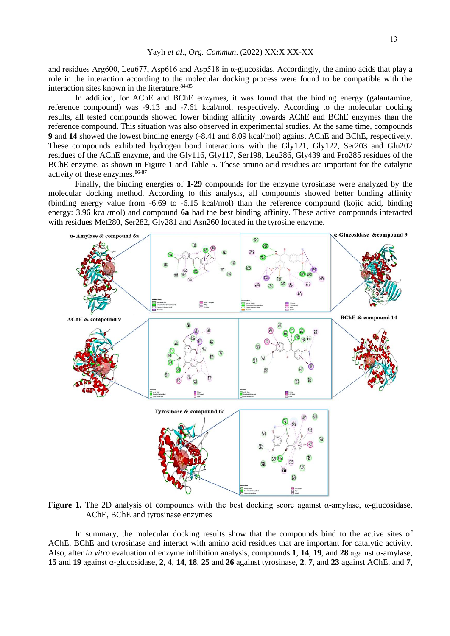and residues Arg600, Leu677, Asp616 and Asp518 in  $\alpha$ -glucosidas. Accordingly, the amino acids that play a role in the interaction according to the molecular docking process were found to be compatible with the interaction sites known in the literature.<sup>84-85</sup>

In addition, for AChE and BChE enzymes, it was found that the binding energy (galantamine, reference compound) was -9.13 and -7.61 kcal/mol, respectively. According to the molecular docking results, all tested compounds showed lower binding affinity towards AChE and BChE enzymes than the reference compound. This situation was also observed in experimental studies. At the same time, compounds **9** and **14** showed the lowest binding energy (-8.41 and 8.09 kcal/mol) against AChE and BChE, respectively. These compounds exhibited hydrogen bond interactions with the Gly121, Gly122, Ser203 and Glu202 residues of the AChE enzyme, and the Gly116, Gly117, Ser198, Leu286, Gly439 and Pro285 residues of the BChE enzyme, as shown in Figure 1 and Table 5. These amino acid residues are important for the catalytic activity of these enzymes.  $86-87$ 

Finally, the binding energies of **1**-**29** compounds for the enzyme tyrosinase were analyzed by the molecular docking method. According to this analysis, all compounds showed better binding affinity (binding energy value from -6.69 to -6.15 kcal/mol) than the reference compound (kojic acid, binding energy: 3.96 kcal/mol) and compound **6a** had the best binding affinity. These active compounds interacted with residues Met280, Ser282, Gly281 and Asn260 located in the tyrosine enzyme.



**Figure 1.** The 2D analysis of compounds with the best docking score against α-amylase, α-glucosidase, AChE, BChE and tyrosinase enzymes

In summary, the molecular docking results show that the compounds bind to the active sites of AChE, BChE and tyrosinase and interact with amino acid residues that are important for catalytic activity. Also, after *in vitro* evaluation of enzyme inhibition analysis, compounds **1**, **14**, **19**, and **28** against α-amylase, **15** and **19** against α-glucosidase, **2**, **4**, **14**, **18**, **25** and **26** against tyrosinase, **2**, **7**, and **23** against AChE, and **7**,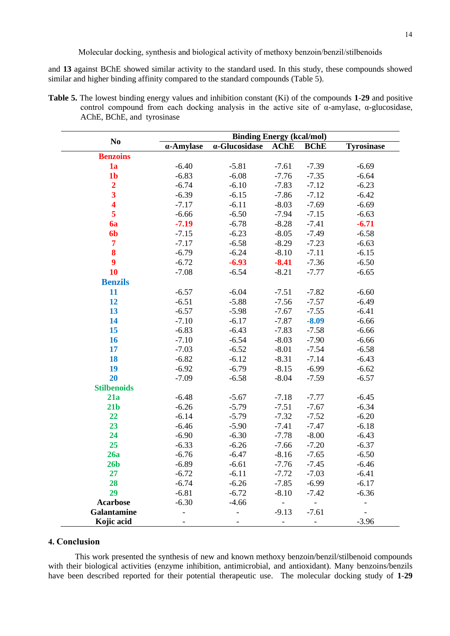and **13** against BChE showed similar activity to the standard used. In this study, these compounds showed similar and higher binding affinity compared to the standard compounds (Table 5).

**Table 5.** The lowest binding energy values and inhibition constant (Ki) of the compounds **1**-**29** and positive control compound from each docking analysis in the active site of  $\alpha$ -amylase,  $\alpha$ -glucosidase, AChE, BChE, and tyrosinase

|                         | <b>Binding Energy (kcal/mol)</b> |                       |             |             |                   |  |  |
|-------------------------|----------------------------------|-----------------------|-------------|-------------|-------------------|--|--|
| N <sub>0</sub>          | $\alpha$ -Amylase                | $\alpha$ -Glucosidase | <b>AChE</b> | <b>BChE</b> | <b>Tyrosinase</b> |  |  |
| <b>Benzoins</b>         |                                  |                       |             |             |                   |  |  |
| 1a                      | $-6.40$                          | $-5.81$               | $-7.61$     | $-7.39$     | $-6.69$           |  |  |
| 1 <sub>b</sub>          | $-6.83$                          | $-6.08$               | $-7.76$     | $-7.35$     | $-6.64$           |  |  |
| $\overline{\mathbf{c}}$ | $-6.74$                          | $-6.10$               | $-7.83$     | $-7.12$     | $-6.23$           |  |  |
| $\overline{\mathbf{3}}$ | $-6.39$                          | $-6.15$               | $-7.86$     | $-7.12$     | $-6.42$           |  |  |
| $\overline{\mathbf{4}}$ | $-7.17$                          | $-6.11$               | $-8.03$     | $-7.69$     | $-6.69$           |  |  |
| 5                       | $-6.66$                          | $-6.50$               | $-7.94$     | $-7.15$     | $-6.63$           |  |  |
| 6a                      | $-7.19$                          | $-6.78$               | $-8.28$     | $-7.41$     | $-6.71$           |  |  |
| 6 <sub>b</sub>          | $-7.15$                          | $-6.23$               | $-8.05$     | $-7.49$     | $-6.58$           |  |  |
| 7                       | $-7.17$                          | $-6.58$               | $-8.29$     | $-7.23$     | $-6.63$           |  |  |
| 8                       | $-6.79$                          | $-6.24$               | $-8.10$     | $-7.11$     | $-6.15$           |  |  |
| 9                       | $-6.72$                          | $-6.93$               | $-8.41$     | $-7.36$     | $-6.50$           |  |  |
| 10                      | $-7.08$                          | $-6.54$               | $-8.21$     | $-7.77$     | $-6.65$           |  |  |
| <b>Benzils</b>          |                                  |                       |             |             |                   |  |  |
| 11                      | $-6.57$                          | $-6.04$               | $-7.51$     | $-7.82$     | $-6.60$           |  |  |
| 12                      | $-6.51$                          | $-5.88$               | $-7.56$     | $-7.57$     | $-6.49$           |  |  |
| 13                      | $-6.57$                          | $-5.98$               | $-7.67$     | $-7.55$     | $-6.41$           |  |  |
| 14                      | $-7.10$                          | $-6.17$               | $-7.87$     | $-8.09$     | $-6.66$           |  |  |
| 15                      | $-6.83$                          | $-6.43$               | $-7.83$     | $-7.58$     | $-6.66$           |  |  |
| 16                      | $-7.10$                          | $-6.54$               | $-8.03$     | $-7.90$     | $-6.66$           |  |  |
| 17                      | $-7.03$                          | $-6.52$               | $-8.01$     | $-7.54$     | $-6.58$           |  |  |
| 18                      | $-6.82$                          | $-6.12$               | $-8.31$     | $-7.14$     | $-6.43$           |  |  |
| 19                      | $-6.92$                          | $-6.79$               | $-8.15$     | $-6.99$     | $-6.62$           |  |  |
| 20                      | $-7.09$                          | $-6.58$               | $-8.04$     | $-7.59$     | $-6.57$           |  |  |
| <b>Stilbenoids</b>      |                                  |                       |             |             |                   |  |  |
| 21a                     | $-6.48$                          | $-5.67$               | $-7.18$     | $-7.77$     | $-6.45$           |  |  |
| 21 <sub>b</sub>         | $-6.26$                          | $-5.79$               | $-7.51$     | $-7.67$     | $-6.34$           |  |  |
| 22                      | $-6.14$                          | $-5.79$               | $-7.32$     | $-7.52$     | $-6.20$           |  |  |
| 23                      | $-6.46$                          | $-5.90$               | $-7.41$     | $-7.47$     | $-6.18$           |  |  |
| 24                      | $-6.90$                          | $-6.30$               | $-7.78$     | $-8.00$     | $-6.43$           |  |  |
| 25                      | $-6.33$                          | $-6.26$               | $-7.66$     | $-7.20$     | $-6.37$           |  |  |
| 26a                     | $-6.76$                          | $-6.47$               | $-8.16$     | $-7.65$     | $-6.50$           |  |  |
| 26 <sub>b</sub>         | $-6.89$                          | $-6.61$               | $-7.76$     | $-7.45$     | $-6.46$           |  |  |
| 27                      | $-6.72$                          | $-6.11$               | $-7.72$     | $-7.03$     | $-6.41$           |  |  |
| 28                      | $-6.74$                          | $-6.26$               | $-7.85$     | $-6.99$     | $-6.17$           |  |  |
| 29                      | $-6.81$                          | $-6.72$               | $-8.10$     | $-7.42$     | $-6.36$           |  |  |
| <b>Acarbose</b>         | $-6.30$                          | $-4.66$               |             |             |                   |  |  |
| <b>Galantamine</b>      |                                  |                       | $-9.13$     | $-7.61$     |                   |  |  |
| Kojic acid              |                                  |                       |             |             | $-3.96$           |  |  |

# **4. Conclusion**

This work presented the synthesis of new and known methoxy benzoin/benzil/stilbenoid compounds with their biological activities (enzyme inhibition, antimicrobial, and antioxidant). Many benzoins/benzils have been described reported for their potential therapeutic use. The molecular docking study of **1**-**29**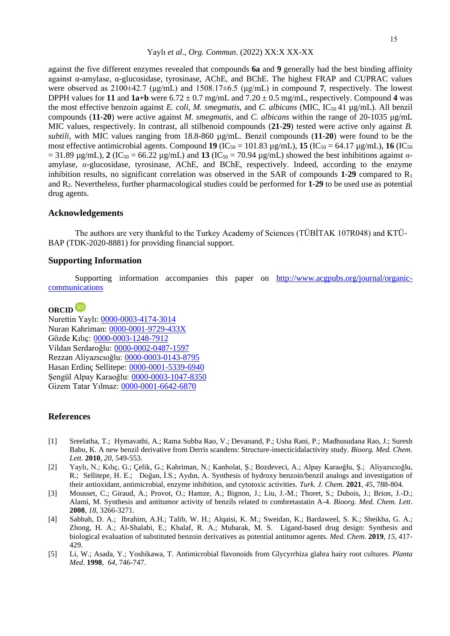against the five different enzymes revealed that compounds **6a** and **9** generally had the best binding affinity against α-amylase, α-glucosidase, tyrosinase, AChE, and BChE. The highest FRAP and CUPRAC values were observed as 2100±42.7 (μg/mL) and 1508.17±6.5 (μg/mL) in compound **7**, respectively. The lowest DPPH values for **11** and  $1a+b$  were  $6.72 \pm 0.7$  mg/mL and  $7.20 \pm 0.5$  mg/mL, respectively. Compound 4 was the most effective benzoin against *E. coli*, *M. smegmatis*, and *C. albicans* (MIC, IC50 41 µg/mL). All benzil compounds ( $11-20$ ) were active against *M. smegmatis*, and *C. albicans* within the range of 20-1035  $\mu$ g/mL MIC values, respectively. In contrast, all stilbenoid compounds (**21**-**29**) tested were active only against *B. subtili*, with MIC values ranging from 18.8-860 µg/mL. Benzil compounds (**11**-**20**) were found to be the most effective antimicrobial agents. Compound **19** (IC<sub>50</sub> = 101.83  $\mu$ g/mL), **15** (IC<sub>50</sub> = 64.17  $\mu$ g/mL), **16** (IC<sub>50</sub>)  $= 31.89 \text{ µg/mL}$ ), **2** (IC<sub>50</sub> = 66.22 µg/mL) and **13** (IC<sub>50</sub> = 70.94 µg/mL) showed the best inhibitions against  $\alpha$ amylase, *α*-glucosidase, tyrosinase, AChE, and BChE, respectively. Indeed, according to the enzyme inhibition results, no significant correlation was observed in the SAR of compounds  $1-29$  compared to  $R_1$ and R2. Nevertheless, further pharmacological studies could be performed for **1**-**29** to be used use as potential drug agents.

# **Acknowledgements**

The authors are very thankful to the Turkey Academy of Sciences (TÜBİTAK 107R048) and KTÜ-BAP (TDK-2020-8881) for providing financial support.

# **Supporting Information**

Supporting information accompanies this paper on http://www.acgpubs.org/journal/organiccommunications

# **ORCID**

Nurettin Yaylı: [0000-0003-4174-3014](https://orcid.org/0000-0003-4174-3014) Nuran Kahriman: [0000-0001-9729-433X](https://orcid.org/0000-0001-9729-433X) Gözde Kılıç: [0000-0003-1248-7912](https://orcid.org/0000-0003-1248-7912) Vildan Serdaroğlu: [0000-0002-0487-1597](https://orcid.org/0000-0002-0487-159) Rezzan Aliyazıcıoğlu: [0000-0003-0143-8795](https://orcid.org/0000-0003-0143-8795) Hasan Erdinç Sellitepe: [0000-0001-5339-6940](https://orcid.org/0000-0001-5339-6940) Şengül Alpay Karaoğlu: [0000-0003-1047-8350](https://orcid.org/0000-0003-1047-8350) Gizem Tatar Yılmaz: [0000-0001-6642-6870](https://orcid.org/0000-0001-6642-6870)

## **References**

- [1] Sreelatha, T.; Hymavathi, A.; Rama Subba Rao, V.; Devanand, P.; Usha Rani, P.; Madhusudana Rao, J.; Suresh Babu, K. A new benzil derivative from Derris scandens: Structure-insecticidalactivity study. *Bioorg. Med. Chem. Lett.* **2010**, *20*, 549-553.
- [2] Yaylı, N.; Kılıç, G.; Çelik, G.; Kahriman, N.; Kanbolat, Ş.; Bozdeveci, A.; Alpay Karaoğlu, Ş.; Aliyazıcıoğlu, R.; Sellitepe, H. E.; Doğan, İ.S.; Aydın, A. Synthesis of hydroxy benzoin/benzil analogs and investigation of their antioxidant, antimicrobial, enzyme inhibition, and cytotoxic activities. *Turk. J. Chem.* **2021**, *45*, 788-804.
- [3] Mousset, C.; Giraud, A.; Provot, O.; Hamze, A.; Bignon, J.; Liu, J.-M.; Thoret, S.; Dubois, J.; Brion, J.-D.; Alami, M. Synthesis and antitumor activity of benzils related to combretastatin A-4. *Bioorg. Med. Chem. Lett.* **2008**, *18*, 3266-3271.
- [4] Sabbah, D. A.; Ibrahim, A.H.; Talib, W. H.; Alqaisi, K. M.; Sweidan, K.; Bardaweel, S. K.; Sheikha, G. A.; Zhong, H. A.; Al-Shalabi, E.; Khalaf, R. A.; Mubarak, M. S. Ligand-based drug design: Synthesis and biological evaluation of substituted benzoin derivatives as potential antitumor agents*. Med. Chem.* **2019**, *15*, 417- 429.
- [5] Li, W.; Asada, Y.; Yoshikawa, T. Antimicrobial flavonoids from Glycyrrhiza glabra hairy root cultures. *Planta Med*. **1998**, *64*, 746-747.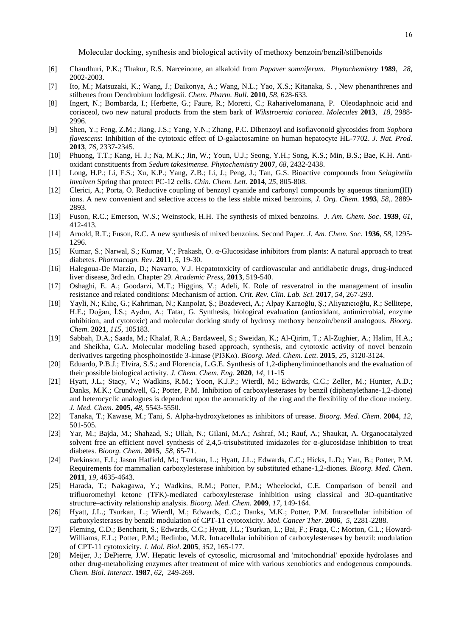- [6] Chaudhuri, P.K.; Thakur, R.S. Narceinone, an alkaloid from *Papaver somniferum*. *Phytochemistry* **1989**, *28*, 2002-2003.
- [7] Ito, M.; Matsuzaki, K.; Wang, J.; Daikonya, A.; Wang, N.L.; Yao, X.S.; Kitanaka, S. , New phenanthrenes and stilbenes from Dendrobium loddigesii. *Chem. Pharm. Bull*. **2010**, *58*, 628-633.
- [8] Ingert, N.; Bombarda, I.; Herbette, G.; Faure, R.; Moretti, C.; Raharivelomanana, P. Oleodaphnoic acid and coriaceol, two new natural products from the stem bark of *Wikstroemia coriacea*. *Molecules* **2013**, *18*, 2988- 2996.
- [9] Shen, Y.; Feng, Z.M.; Jiang, J.S.; Yang, Y.N.; Zhang, P.C. Dibenzoyl and isoflavonoid glycosides from *Sophora flavescens*: Inhibition of the cytotoxic effect of D-galactosamine on human hepatocyte HL-7702. *J. Nat. Prod.* **2013**, *76*, 2337-2345.
- [10] Phuong, T.T.; Kang, H. J.; Na, M.K.; Jin, W.; Youn, U.J.; Seong, Y.H.; Song, K.S.; Min, B.S.; Bae, K.H. Antioxidant constituents from *Sedum takesimense. Phytochemistry* **2007**, *68*, 2432-2438.
- [11] Long, H.P.; Li, F.S.; Xu, K.P.; Yang, Z.B.; Li, J.; Peng, J.; Tan, G.S. Bioactive compounds from *Selaginella involven* Spring that protect PC-12 cells. *Chin. Chem. Lett*. **2014**, *25*, 805-808.
- [12] Clerici, A.; Porta, O. Reductive coupling of benzoyl cyanide and carbonyl compounds by aqueous titanium(III) ions. A new convenient and selective access to the less stable mixed benzoins, *J. Org. Chem.* **1993**, *58*,. 2889- 2893.
- [13] Fuson, R.C.; Emerson, W.S.; Weinstock, H.H. The synthesis of mixed benzoins. *J. Am. Chem. Soc*. **1939**, *61*, 412-413.
- [14] Arnold, R.T.; Fuson, R.C. A new synthesis of mixed benzoins. Second Paper. *J. Am. Chem. Soc.* **1936**, *58*, 1295- 1296.
- [15] Kumar, S.; Narwal, S.; Kumar, V.; Prakash, O. α-Glucosidase inhibitors from plants: A natural approach to treat diabetes. *Pharmacogn. Rev.* **2011**, *5*, 19-30.
- [16] Halegoua-De Marzio, D.; Navarro, V.J. Hepatotoxicity of cardiovascular and antidiabetic drugs, drug-induced liver disease, 3rd edn. Chapter 29. *Academic Press*, **2013**, 519-540.
- [17] Oshaghi, E. A.; Goodarzi, M.T.; Higgins, V.; Adeli, K. Role of resveratrol in the management of insulin resistance and related conditions: Mechanism of action. *Crit. Rev. Clin. Lab. Sci.* **2017**, *54*, 267-293.
- [18] Yayli, N.; Kılıç, G.; Kahriman, N.; Kanpolat, Ş.; Bozdeveci, A.; Alpay Karaoğlu, Ş.; Aliyazıcıoğlu, R.; Sellitepe, H.E.; Doğan, İ.S.; Aydın, A.; Tatar, G. Synthesis, biological evaluation (antioxidant, antimicrobial, enzyme inhibition, and cytotoxic) and molecular docking study of hydroxy methoxy benzoin/benzil analogous. *Bioorg. Chem*. **2021**, *115*, 105183.
- [19] Sabbah, D.A.; Saada, M.; Khalaf, R.A.; Bardaweel, S.; Sweidan, K.; Al-Qirim, T.; Al-Zughier, A.; Halim, H.A.; and Sheikha, G.A. Molecular modeling based approach, synthesis, and cytotoxic activity of novel benzoin derivatives targeting phosphoinostide 3-kinase (PI3Kα). *Bioorg. Med. Chem. Lett*. **2015**, *25*, 3120-3124.
- [20] Eduardo, P.B.J.; Elvira, S.S.; and Florencia, L.G.E. Synthesis of 1,2-diphenyliminoethanols and the evaluation of their possible biological activity. *J. Chem. Chem. Eng*. **2020**, *14*, 11-15
- [21] Hyatt, J.L.; Stacy, V.; Wadkins, R.M.; Yoon, K.J.P.; Wierdl, M.; Edwards, C.C.; Zeller, M.; Hunter, A.D.; Danks, M.K.; Crundwell, G.; Potter, P.M. Inhibition of carboxylesterases by benzil (diphenylethane-1,2-dione) and heterocyclic analogues is dependent upon the aromaticity of the ring and the flexibility of the dione moiety. *J. Med. Chem*. **2005**, *48*, 5543-5550.
- [22] Tanaka, T.; Kawase, M.; Tani, S. Alpha-hydroxyketones as inhibitors of urease. *Bioorg. Med. Chem*. **2004**, *12*, 501-505.
- [23] Yar, M.; Bajda, M.; Shahzad, S.; Ullah, N.; Gilani, M.A.; Ashraf, M.; Rauf, A.; Shaukat, A. Organocatalyzed solvent free an efficient novel synthesis of 2,4,5-trisubstituted imidazoles for  $\alpha$ -glucosidase inhibition to treat diabetes. *Bioorg. Chem*. **2015**, *58*, 65-71.
- [24] Parkinson, E.I.; Jason Hatfield, M.; Tsurkan, L.; Hyatt, J.L.; Edwards, C.C.; Hicks, L.D.; Yan, B.; Potter, P.M. Requirements for mammalian carboxylesterase inhibition by substituted ethane-1,2-diones. *Bioorg. Med. Chem*. **2011**, *19*, 4635-4643.
- [25] Harada, T.; Nakagawa, Y.; Wadkins, R.M.; Potter, P.M.; Wheelockd, C.E. Comparison of benzil and trifluoromethyl ketone (TFK)-mediated carboxylesterase inhibition using classical and 3D-quantitative structure–activity relationship analysis. *Bioorg. Med. Chem*. **2009**, *17*, 149-164.
- [26] Hyatt, J.L.; Tsurkan, L.; Wierdl, M.; Edwards, C.C.; Danks, M.K.; Potter, P.M. Intracellular inhibition of carboxylesterases by benzil: modulation of CPT-11 cytotoxicity. *Mol. Cancer Ther*. **2006**, *5*, 2281-2288.
- [27] Fleming, C.D.; Bencharit, S.; Edwards, C.C.; Hyatt, J.L.; Tsurkan, L.; Bai, F.; Fraga, C.; Morton, C.L.; Howard-Williams, E.L.; Potter, P.M.; Redinbo, M.R. Intracellular inhibition of carboxylesterases by benzil: modulation of CPT-11 cytotoxicity. *J. Mol. Biol*. **2005**, *352*, 165-177.
- [28] Meijer, J.; DePierre, J.W. Hepatic levels of cytosolic, microsomal and 'mitochondrial' epoxide hydrolases and other drug-metabolizing enzymes after treatment of mice with various xenobiotics and endogenous compounds. *Chem. Biol. Interact*. **1987**, *62*, 249-269.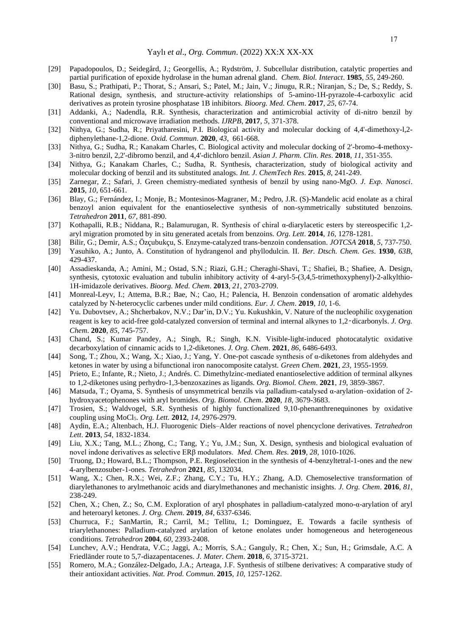- [29] Papadopoulos, D.; Seidegård, J.; Georgellis, A.; Rydström, J. Subcellular distribution, catalytic properties and partial purification of epoxide hydrolase in the human adrenal gland. *Chem. Biol. Interact*. **1985**, *55*, 249-260.
- [30] Basu, S.; Prathipati, P.; Thorat, S.; Ansari, S.; Patel, M.; Jain, V.; Jinugu, R.R.; Niranjan, S.; De, S.; Reddy, S. Rational design, synthesis, and structure-activity relationships of 5-amino-1H-pyrazole-4-carboxylic acid derivatives as protein tyrosine phosphatase 1B inhibitors. *Bioorg. Med. Chem*. **2017**, *25*, 67-74.
- [31] Addanki, A.; Nadendla, R.R. Synthesis, characterization and antimicrobial activity of di-nitro benzil by conventional and microwave irradiation methods*. IJRPB*, **2017**, *5*, 371-378.
- [32] Nithya, G.; Sudha, R.; Priyatharesini, P.I. Biological activity and molecular docking of 4,4'-dimethoxy-l,2 diphenylethane-1,2-dione. *Oxid. Commun*. **2020**, *43*, 661-668.
- [33] Nithya, G.; Sudha, R.; Kanakam Charles, C. Biological activity and molecular docking of 2'-bromo-4-methoxy-3-nitro benzil, 2,2'-dibromo benzil, and 4,4'-dichloro benzil. *Asian J. Pharm. Clin. Res*. **2018**, *11*, 351-355.
- [34] Nithya, G.; Kanakam Charles, C.; Sudha, R. Synthesis, characterization, study of biological activity and molecular docking of benzil and its substituted analogs. *Int. J. ChemTech Res*. **2015**, *8*, 241-249.
- [35] Zarnegar, Z.; Safari, J. Green chemistry-mediated synthesis of benzil by using nano-MgO. *J. Exp. Nanosci*. **2015**, *10*, 651-661.
- [36] Blay, G.; Fernández, I.; Monje, B.; Montesinos-Magraner, M.; Pedro, J.R. (S)-Mandelic acid enolate as a chiral benzoyl anion equivalent for the enantioselective synthesis of non-symmetrically substituted benzoins. *Tetrahedron* **2011**, *67*, 881-890.
- [37] Kothapalli, R.B.; Niddana, R.; Balamurugan, R. Synthesis of chiral α-diarylacetic esters by stereospecific 1,2 aryl migration promoted by in situ generated acetals from benzoins. *Org. Lett*. **2014**, *16*, 1278-1281.
- [38] Bilir, G.; Demir, A.S.; Özçubukçu, S. Enzyme-catalyzed trans-benzoin condensation. *JOTCSA* **2018**, *5*, 737-750.
- [39] Yasuhiko, A.; Junto, A. Constitution of hydrangenol and phyllodulcin. II. *Ber. Dtsch. Chem. Ges*. **1930**, *63B*, 429-437.
- [40] Assadieskanda, A.; Amini, M.; Ostad, S.N.; Riazi, G.H.; Cheraghi-Shavi, T.; Shafiei, B.; Shafiee, A. Design, synthesis, cytotoxic evaluation and tubulin inhibitory activity of 4-aryl-5-(3,4,5-trimethoxyphenyl)-2-alkylthio-1H-imidazole derivatives. *Bioorg. Med. Chem*. **2013**, *21*, 2703-2709.
- [41] Monreal-Leyv, I.; Attema, B.R.; Bae, N.; Cao, H.; Palencia, H. Benzoin condensation of aromatic aldehydes catalyzed by N-heterocyclic carbenes under mild conditions. *Eur. J. Chem*. **2019**, *10*, 1-6.
- [42] Yu. Dubovtsev, A.; Shcherbakov, N.V.; Dar'in, D.V.; Yu. Kukushkin, V. Nature of the nucleophilic oxygenation reagent is key to acid-free gold-catalyzed conversion of terminal and internal alkynes to 1,2‑dicarbonyls. *J. Org. Chem*. **2020**, *85*, 745-757.
- [43] Chand, S.; Kumar Pandey, A.; Singh, R.; Singh, K.N. Visible-light-induced photocatalytic oxidative decarboxylation of cinnamic acids to 1,2-diketones. *J. Org. Chem*. **2021**, *86*, 6486-6493.
- [44] Song, T.; Zhou, X.; Wang, X.; Xiao, J.; Yang, Y. One-pot cascade synthesis of α-diketones from aldehydes and ketones in water by using a bifunctional iron nanocomposite catalyst. *Green Chem*. **2021**, *23*, 1955-1959.
- [45] Prieto, E.; Infante, R.; Nieto, J.; Andrés. C. Dimethylzinc-mediated enantioselective addition of terminal alkynes to 1,2-diketones using perhydro-1,3-benzoxazines as ligands. *Org. Biomol. Chem*. **2021**, *19*, 3859-3867.
- [46] Matsuda, T.; Oyama, S. Synthesis of unsymmetrical benzils via palladium-catalysed α-arylation–oxidation of 2 hydroxyacetophenones with aryl bromides. *Org. Biomol. Chem*. **2020**, *18*, 3679-3683.
- [47] Trosien, S.; Waldvogel, S.R. Synthesis of highly functionalized 9,10-phenanthrenequinones by oxidative coupling using MoCl5. *Org. Lett.* **2012**, *14*, 2976-2979.
- [48] Aydin, E.A.; Altenbach, H.J. Fluorogenic Diels–Alder reactions of novel phencyclone derivatives. *Tetrahedron Lett*. **2013**, *54*, 1832-1834.
- [49] Liu, X.X.; Tang, M.L.; Zhong, C.; Tang, Y.; Yu, J.M.; Sun, X. Design, synthesis and biological evaluation of novel indone derivatives as selective ERβ modulators. *Med. Chem. Res*. **2019**, *28*, 1010-1026.
- [50] Truong, D.; Howard, B.L.; Thompson, P.E. Regioselection in the synthesis of 4-benzyltetral-1-ones and the new 4-arylbenzosuber-1-ones. *Tetrahedron* **2021**, *85*, 132034.
- [51] Wang, X.; Chen, R.X.; Wei, Z.F.; Zhang, C.Y.; Tu, H.Y.; Zhang, A.D. Chemoselective transformation of diarylethanones to arylmethanoic acids and diarylmethanones and mechanistic insights. *J. Org. Chem*. **2016**, *81*, 238-249.
- [52] Chen, X.; Chen, Z.; So, C.M. Exploration of aryl phosphates in palladium-catalyzed mono-α-arylation of aryl and heteroaryl ketones. *J. Org. Chem*. **2019**, *84*, 6337-6346.
- [53] Churruca, F.; SanMartin, R.; Carril, M.; Tellitu, I.; Dominguez, E. Towards a facile synthesis of triarylethanones: Palladium-catalyzed arylation of ketone enolates under homogeneous and heterogeneous conditions. *Tetrahedron* **2004**, *60*, 2393-2408.
- [54] Lunchev, A.V.; Hendrata, V.C.; Jaggi, A.; Morris, S.A.; Ganguly, R.; Chen, X.; Sun, H.; Grimsdale, A.C. A Friedländer route to 5,7-diazapentacenes. *J. Mater. Chem*. **2018**, *6*, 3715-3721.
- [55] Romero, M.A.; González-Delgado, J.A.; Arteaga, J.F. Synthesis of stilbene derivatives: A comparative study of their antioxidant activities. *Nat. Prod. Commun*. **2015**, *10*, 1257-1262.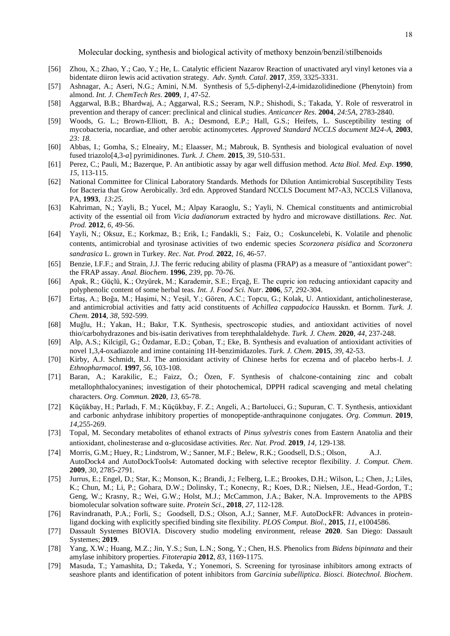- [56] Zhou, X.; Zhao, Y.; Cao, Y.; He, L. Catalytic efficient Nazarov Reaction of unactivated aryl vinyl ketones via a bidentate diiron lewis acid activation strategy. *Adv. Synth. Catal*. **2017**, *359*, 3325-3331.
- [57] Ashnagar, A.; Aseri, N.G.; Amini, N.M. Synthesis of 5,5-diphenyl-2,4-imidazolidinedione (Phenytoin) from almond. *Int. J. ChemTech Res*. **2009**, *1*, 47-52.
- [58] Aggarwal, B.B.; Bhardwaj, A.; Aggarwal, R.S.; Seeram, N.P.; Shishodi, S.; Takada, Y. Role of resveratrol in prevention and therapy of cancer: preclinical and clinical studies. *Anticancer Res*. **2004**, *24:5A*, 2783-2840.
- [59] Woods, G. L.; Brown-Elliott, B. A.; Desmond, E.P.; Hall, G.S.; Heifets, L. Susceptibility testing of mycobacteria, nocardiae, and other aerobic actinomycetes. *Approved Standard NCCLS document M24-A*, **2003**, *23: 18.*
- [60] Abbas, I.; Gomha, S.; Elneairy, M.; Elaasser, M.; Mabrouk, B. Synthesis and biological evaluation of novel fused triazolo[4,3-*a*] pyrimidinones. *Turk. J. Chem*. **2015**, *39*, 510-531.
- [61] Perez, C.; Pauli, M.; Bazerque, P. An antibiotic assay by agar well diffusion method. *Acta Biol. Med. Exp*. **1990**, *15*, 113-115.
- [62] National Committee for Clinical Laboratory Standards. Methods for Dilution Antimicrobial Susceptibility Tests for Bacteria that Grow Aerobically. 3rd edn. Approved Standard NCCLS Document M7-A3, NCCLS Villanova, PA, **1993**, *13:25*.
- [63] Kahriman, N.; Yayli, B.; Yucel, M.; Alpay Karaoglu, S.; Yayli, N. Chemical constituents and antimicrobial activity of the essential oil from *Vicia dadianorum* extracted by hydro and microwave distillations. *Rec. Nat. Prod.* **2012**, *6*, 49-56.
- [64] Yayli, N.; Oksuz, E.; Korkmaz, B.; Erik, I.; Fandakli, S.; Faiz, O.; Coskuncelebi, K. Volatile and phenolic contents, antimicrobial and tyrosinase activities of two endemic species *Scorzonera pisidica* and *Scorzonera sandrasica* L. grown in Turkey. *Rec. Nat. Prod.* **2022**, *16*, 46-57.
- [65] Benzie, I.F.F.; and Strain, J.J. The ferric reducing ability of plasma (FRAP) as a measure of "antioxidant power": the FRAP assay. *Anal. Biochem*. **1996**, *239*, pp. 70-76.
- [66] Apak, R.; Güçlü, K.; Ozyürek, M.; Karademir, S.E.; Erçağ, E. The cupric ion reducing antioxidant capacity and polyphenolic content of some herbal teas. *Int. J. Food Sci. Nutr*. **2006**, *57*, 292-304.
- [67] Ertaş, A.; Boğa, M.; Haşimi, N.; Yeşil, Y.; Gören, A.C.; Topcu, G.; Kolak, U. Antioxidant, anticholinesterase, and antimicrobial activities and fatty acid constituents of *Achillea cappadocica* Hausskn. et Bornm. *Turk. J. Chem*. **2014**, *38*, 592-599.
- [68] Muğlu, H.; Yakan, H.; Bakır, T.K. Synthesis, spectroscopic studies, and antioxidant activities of novel thio/carbohydrazones and bis-isatin derivatives from terephthalaldehyde. *Turk. J. Chem*. **2020**, *44*, 237-248.
- [69] Alp, A.S.; Kilcigil, G.; Özdamar, E.D.; Çoban, T.; Eke, B. Synthesis and evaluation of antioxidant activities of novel 1,3,4-oxadiazole and imine containing 1H-benzimidazoles. *Turk. J. Chem*. **2015**, *39*, 42-53.
- [70] Kirby, A.J. Schmidt, R.J. The antioxidant activity of Chinese herbs for eczema and of placebo herbs-I. *J. Ethnopharmacol*. **1997**, *56*, 103-108.
- [71] Baran, A.; Karakilic, E.; Faizz, Ö.; Özen, F. Synthesis of chalcone-containing zinc and cobalt metallophthalocyanines; investigation of their photochemical, DPPH radical scavenging and metal chelating characters. *Org. Commun.* **2020**, *13*, 65-78.
- [72] Küçükbay, H.; Parladı, F. M.; Küçükbay, F. Z.; Angeli, A.; Bartolucci, G.; Supuran, C. T. Synthesis, antioxidant and carbonic anhydrase inhibitory properties of monopeptide-anthraquinone conjugates. *Org. Commun*. **2019**, *14,*255-269.
- [73] Topal, M. Secondary metabolites of ethanol extracts of *Pinus sylvestris* cones from Eastern Anatolia and their antioxidant, cholinesterase and α-glucosidase activities. *Rec. Nat. Prod.* **2019**, *14,* 129-138.
- [74] Morris, G.M.; Huey, R.; Lindstrom, W.; Sanner, M.F.; Belew, R.K.; Goodsell, D.S.; Olson, A.J. AutoDock4 and AutoDockTools4: Automated docking with selective receptor flexibility. *J. Comput. Chem*. **2009**, *30*, 2785-2791.
- [75] Jurrus, E.; Engel, D.; Star, K.; Monson, K.; Brandi, J.; Felberg, L.E.; Brookes, D.H.; Wilson, L.; Chen, J.; Liles, K.; Chun, M.; Li, P.; Gohara, D.W.; Dolinsky, T.; Konecny, R.; Koes, D.R.; Nielsen, J.E., Head-Gordon, T.; Geng, W.; Krasny, R.; Wei, G.W.; Holst, M.J.; McCammon, J.A.; Baker, N.A. Improvements to the APBS biomolecular solvation software suite. *Protein Sci*., **2018**, *27*, 112-128.
- [76] Ravindranath, P.A.; Forli, S.; Goodsell, D.S.; Olson, A.J.; Sanner, M.F. AutoDockFR: Advances in proteinligand docking with explicitly specified binding site flexibility. *PLOS Comput. Biol.*, **2015**, *11*, e1004586.
- [77] Dassault Systemes BIOVIA. Discovery studio modeling environment, release **2020**. San Diego: Dassault Systemes; **2019**.
- [78] Yang, X.W.; Huang, M.Z.; Jin, Y.S.; Sun, L.N.; Song, Y.; Chen, H.S. Phenolics from *Bidens bipinnata* and their amylase inhibitory properties. *Fitoterapia* **2012**, *83*, 1169-1175.
- [79] Masuda, T.; Yamashita, D.; Takeda, Y.; Yonemori, S. Screening for tyrosinase inhibitors among extracts of seashore plants and identification of potent inhibitors from *Garcinia subelliptica*. *Biosci. Biotechnol. Biochem*.